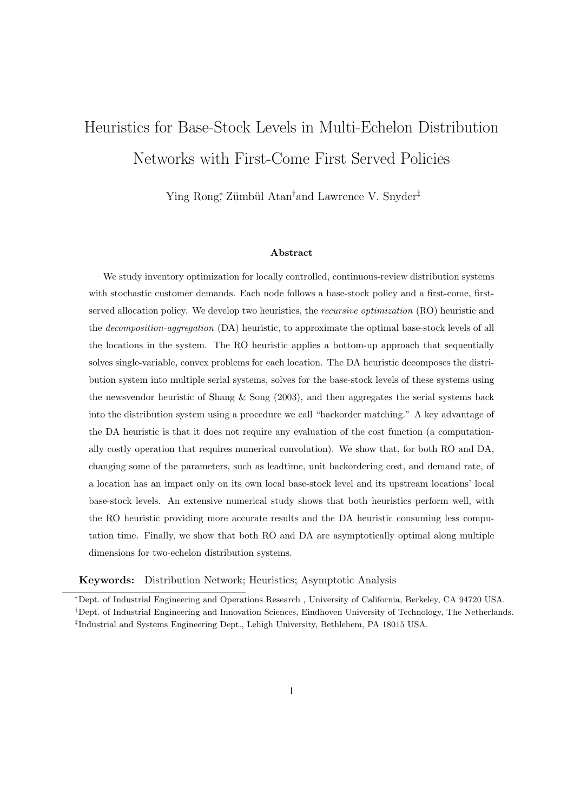# Heuristics for Base-Stock Levels in Multi-Echelon Distribution Networks with First-Come First Served Policies

Ying Rong*<sup>∗</sup>* , Z¨umb¨ul Atan*†*and Lawrence V. Snyder*‡*

#### **Abstract**

We study inventory optimization for locally controlled, continuous-review distribution systems with stochastic customer demands. Each node follows a base-stock policy and a first-come, firstserved allocation policy. We develop two heuristics, the *recursive optimization* (RO) heuristic and the *decomposition-aggregation* (DA) heuristic, to approximate the optimal base-stock levels of all the locations in the system. The RO heuristic applies a bottom-up approach that sequentially solves single-variable, convex problems for each location. The DA heuristic decomposes the distribution system into multiple serial systems, solves for the base-stock levels of these systems using the newsvendor heuristic of Shang  $\&$  Song (2003), and then aggregates the serial systems back into the distribution system using a procedure we call "backorder matching." A key advantage of the DA heuristic is that it does not require any evaluation of the cost function (a computationally costly operation that requires numerical convolution). We show that, for both RO and DA, changing some of the parameters, such as leadtime, unit backordering cost, and demand rate, of a location has an impact only on its own local base-stock level and its upstream locations' local base-stock levels. An extensive numerical study shows that both heuristics perform well, with the RO heuristic providing more accurate results and the DA heuristic consuming less computation time. Finally, we show that both RO and DA are asymptotically optimal along multiple dimensions for two-echelon distribution systems.

**Keywords:** Distribution Network; Heuristics; Asymptotic Analysis

*<sup>∗</sup>*Dept. of Industrial Engineering and Operations Research , University of California, Berkeley, CA 94720 USA. <sup>†</sup>Dept. of Industrial Engineering and Innovation Sciences, Eindhoven University of Technology, The Netherlands. *‡* Industrial and Systems Engineering Dept., Lehigh University, Bethlehem, PA 18015 USA.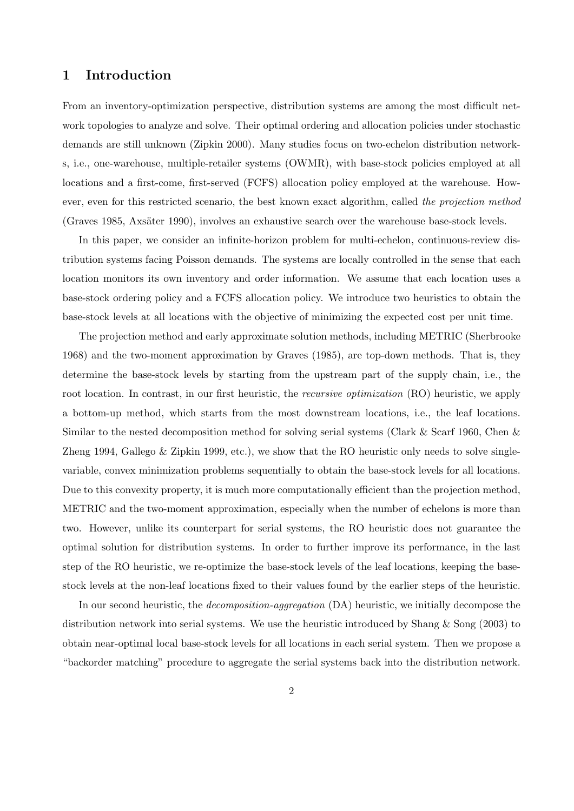## **1 Introduction**

From an inventory-optimization perspective, distribution systems are among the most difficult network topologies to analyze and solve. Their optimal ordering and allocation policies under stochastic demands are still unknown (Zipkin 2000). Many studies focus on two-echelon distribution networks, i.e., one-warehouse, multiple-retailer systems (OWMR), with base-stock policies employed at all locations and a first-come, first-served (FCFS) allocation policy employed at the warehouse. However, even for this restricted scenario, the best known exact algorithm, called *the projection method* (Graves 1985, Axsäter 1990), involves an exhaustive search over the warehouse base-stock levels.

In this paper, we consider an infinite-horizon problem for multi-echelon, continuous-review distribution systems facing Poisson demands. The systems are locally controlled in the sense that each location monitors its own inventory and order information. We assume that each location uses a base-stock ordering policy and a FCFS allocation policy. We introduce two heuristics to obtain the base-stock levels at all locations with the objective of minimizing the expected cost per unit time.

The projection method and early approximate solution methods, including METRIC (Sherbrooke 1968) and the two-moment approximation by Graves (1985), are top-down methods. That is, they determine the base-stock levels by starting from the upstream part of the supply chain, i.e., the root location. In contrast, in our first heuristic, the *recursive optimization* (RO) heuristic, we apply a bottom-up method, which starts from the most downstream locations, i.e., the leaf locations. Similar to the nested decomposition method for solving serial systems (Clark & Scarf 1960, Chen & Zheng 1994, Gallego & Zipkin 1999, etc.), we show that the RO heuristic only needs to solve singlevariable, convex minimization problems sequentially to obtain the base-stock levels for all locations. Due to this convexity property, it is much more computationally efficient than the projection method, METRIC and the two-moment approximation, especially when the number of echelons is more than two. However, unlike its counterpart for serial systems, the RO heuristic does not guarantee the optimal solution for distribution systems. In order to further improve its performance, in the last step of the RO heuristic, we re-optimize the base-stock levels of the leaf locations, keeping the basestock levels at the non-leaf locations fixed to their values found by the earlier steps of the heuristic.

In our second heuristic, the *decomposition-aggregation* (DA) heuristic, we initially decompose the distribution network into serial systems. We use the heuristic introduced by Shang & Song (2003) to obtain near-optimal local base-stock levels for all locations in each serial system. Then we propose a "backorder matching" procedure to aggregate the serial systems back into the distribution network.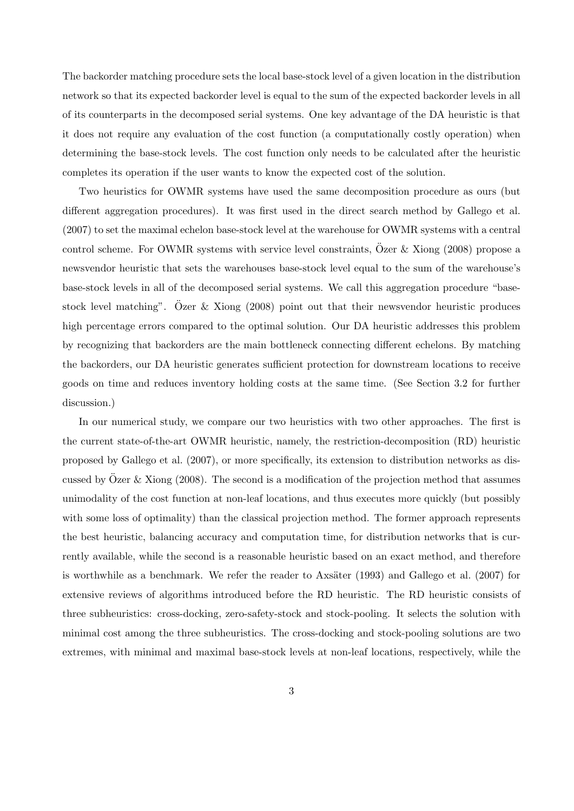The backorder matching procedure sets the local base-stock level of a given location in the distribution network so that its expected backorder level is equal to the sum of the expected backorder levels in all of its counterparts in the decomposed serial systems. One key advantage of the DA heuristic is that it does not require any evaluation of the cost function (a computationally costly operation) when determining the base-stock levels. The cost function only needs to be calculated after the heuristic completes its operation if the user wants to know the expected cost of the solution.

Two heuristics for OWMR systems have used the same decomposition procedure as ours (but different aggregation procedures). It was first used in the direct search method by Gallego et al. (2007) to set the maximal echelon base-stock level at the warehouse for OWMR systems with a central control scheme. For OWMR systems with service level constraints,  $\ddot{\text{O}}$ zer & Xiong (2008) propose a newsvendor heuristic that sets the warehouses base-stock level equal to the sum of the warehouse's base-stock levels in all of the decomposed serial systems. We call this aggregation procedure "basestock level matching". Özer & Xiong (2008) point out that their newsvendor heuristic produces high percentage errors compared to the optimal solution. Our DA heuristic addresses this problem by recognizing that backorders are the main bottleneck connecting different echelons. By matching the backorders, our DA heuristic generates sufficient protection for downstream locations to receive goods on time and reduces inventory holding costs at the same time. (See Section 3.2 for further discussion.)

In our numerical study, we compare our two heuristics with two other approaches. The first is the current state-of-the-art OWMR heuristic, namely, the restriction-decomposition (RD) heuristic proposed by Gallego et al. (2007), or more specifically, its extension to distribution networks as discussed by Özer & Xiong (2008). The second is a modification of the projection method that assumes unimodality of the cost function at non-leaf locations, and thus executes more quickly (but possibly with some loss of optimality) than the classical projection method. The former approach represents the best heuristic, balancing accuracy and computation time, for distribution networks that is currently available, while the second is a reasonable heuristic based on an exact method, and therefore is worthwhile as a benchmark. We refer the reader to Axsäter  $(1993)$  and Gallego et al.  $(2007)$  for extensive reviews of algorithms introduced before the RD heuristic. The RD heuristic consists of three subheuristics: cross-docking, zero-safety-stock and stock-pooling. It selects the solution with minimal cost among the three subheuristics. The cross-docking and stock-pooling solutions are two extremes, with minimal and maximal base-stock levels at non-leaf locations, respectively, while the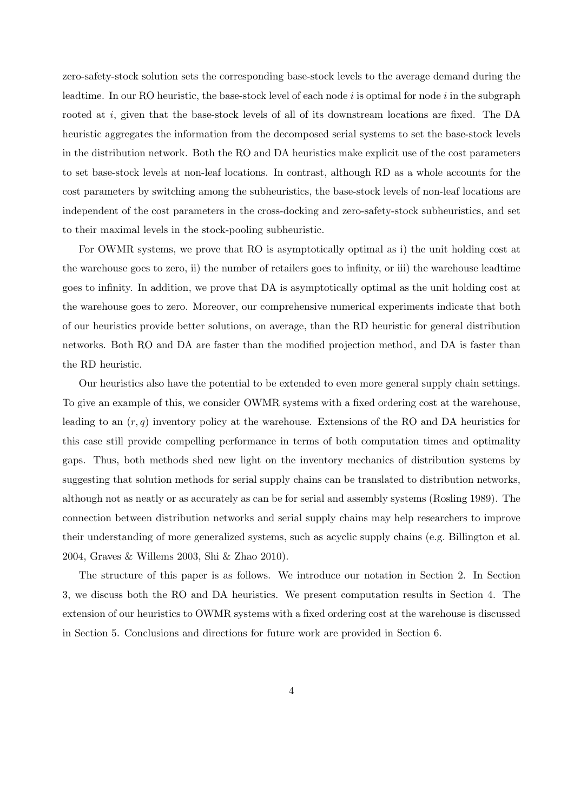zero-safety-stock solution sets the corresponding base-stock levels to the average demand during the leadtime. In our RO heuristic, the base-stock level of each node *i* is optimal for node *i* in the subgraph rooted at *i*, given that the base-stock levels of all of its downstream locations are fixed. The DA heuristic aggregates the information from the decomposed serial systems to set the base-stock levels in the distribution network. Both the RO and DA heuristics make explicit use of the cost parameters to set base-stock levels at non-leaf locations. In contrast, although RD as a whole accounts for the cost parameters by switching among the subheuristics, the base-stock levels of non-leaf locations are independent of the cost parameters in the cross-docking and zero-safety-stock subheuristics, and set to their maximal levels in the stock-pooling subheuristic.

For OWMR systems, we prove that RO is asymptotically optimal as i) the unit holding cost at the warehouse goes to zero, ii) the number of retailers goes to infinity, or iii) the warehouse leadtime goes to infinity. In addition, we prove that DA is asymptotically optimal as the unit holding cost at the warehouse goes to zero. Moreover, our comprehensive numerical experiments indicate that both of our heuristics provide better solutions, on average, than the RD heuristic for general distribution networks. Both RO and DA are faster than the modified projection method, and DA is faster than the RD heuristic.

Our heuristics also have the potential to be extended to even more general supply chain settings. To give an example of this, we consider OWMR systems with a fixed ordering cost at the warehouse, leading to an (*r, q*) inventory policy at the warehouse. Extensions of the RO and DA heuristics for this case still provide compelling performance in terms of both computation times and optimality gaps. Thus, both methods shed new light on the inventory mechanics of distribution systems by suggesting that solution methods for serial supply chains can be translated to distribution networks, although not as neatly or as accurately as can be for serial and assembly systems (Rosling 1989). The connection between distribution networks and serial supply chains may help researchers to improve their understanding of more generalized systems, such as acyclic supply chains (e.g. Billington et al. 2004, Graves & Willems 2003, Shi & Zhao 2010).

The structure of this paper is as follows. We introduce our notation in Section 2. In Section 3, we discuss both the RO and DA heuristics. We present computation results in Section 4. The extension of our heuristics to OWMR systems with a fixed ordering cost at the warehouse is discussed in Section 5. Conclusions and directions for future work are provided in Section 6.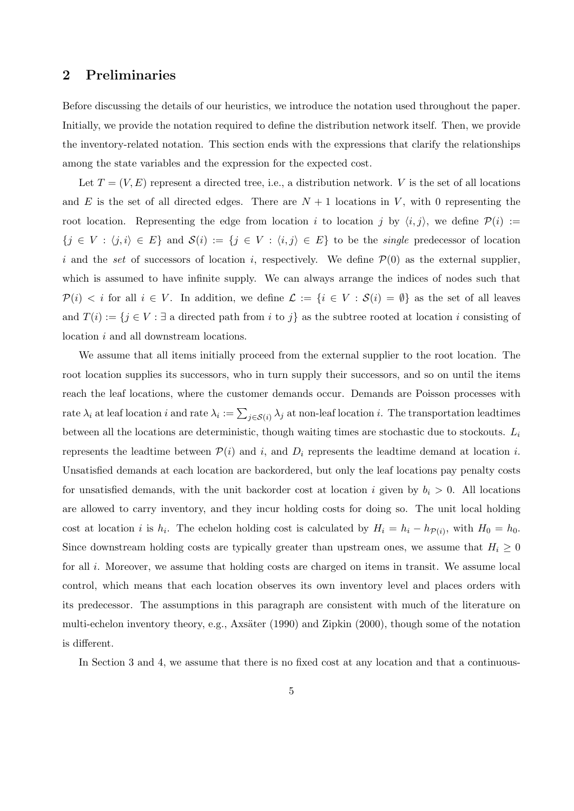## **2 Preliminaries**

Before discussing the details of our heuristics, we introduce the notation used throughout the paper. Initially, we provide the notation required to define the distribution network itself. Then, we provide the inventory-related notation. This section ends with the expressions that clarify the relationships among the state variables and the expression for the expected cost.

Let  $T = (V, E)$  represent a directed tree, i.e., a distribution network. *V* is the set of all locations and *E* is the set of all directed edges. There are  $N+1$  locations in *V*, with 0 representing the root location. Representing the edge from location *i* to location *j* by  $\langle i, j \rangle$ , we define  $\mathcal{P}(i)$  :=  $\{j \in V : \langle j, i \rangle \in E\}$  and  $\mathcal{S}(i) := \{j \in V : \langle i, j \rangle \in E\}$  to be the *single* predecessor of location *i* and the *set* of successors of location *i*, respectively. We define  $P(0)$  as the external supplier, which is assumed to have infinite supply. We can always arrange the indices of nodes such that *P*(*i*)  $\lt$  *i* for all *i*  $\in$  *V*. In addition, we define  $\mathcal{L} := \{i \in V : \mathcal{S}(i) = \emptyset\}$  as the set of all leaves and  $T(i) := \{j \in V : \exists$  a directed path from *i* to *j* $\}$  as the subtree rooted at location *i* consisting of location *i* and all downstream locations.

We assume that all items initially proceed from the external supplier to the root location. The root location supplies its successors, who in turn supply their successors, and so on until the items reach the leaf locations, where the customer demands occur. Demands are Poisson processes with rate  $\lambda_i$  at leaf location *i* and rate  $\lambda_i := \sum_{j \in \mathcal{S}(i)} \lambda_j$  at non-leaf location *i*. The transportation leadtimes between all the locations are deterministic, though waiting times are stochastic due to stockouts. *L<sup>i</sup>* represents the leadtime between  $P(i)$  and *i*, and  $D_i$  represents the leadtime demand at location *i*. Unsatisfied demands at each location are backordered, but only the leaf locations pay penalty costs for unsatisfied demands, with the unit backorder cost at location *i* given by  $b_i > 0$ . All locations are allowed to carry inventory, and they incur holding costs for doing so. The unit local holding cost at location *i* is  $h_i$ . The echelon holding cost is calculated by  $H_i = h_i - h_{\mathcal{P}(i)}$ , with  $H_0 = h_0$ . Since downstream holding costs are typically greater than upstream ones, we assume that  $H_i \geq 0$ for all *i*. Moreover, we assume that holding costs are charged on items in transit. We assume local control, which means that each location observes its own inventory level and places orders with its predecessor. The assumptions in this paragraph are consistent with much of the literature on multi-echelon inventory theory, e.g., Axsäter (1990) and Zipkin (2000), though some of the notation is different.

In Section 3 and 4, we assume that there is no fixed cost at any location and that a continuous-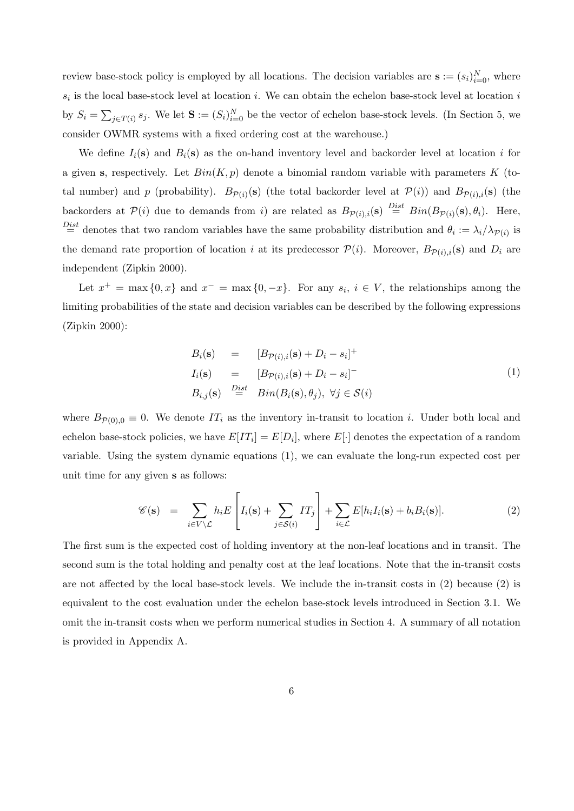review base-stock policy is employed by all locations. The decision variables are  $\mathbf{s} := (s_i)_{i=0}^N$ , where *si* is the local base-stock level at location *i*. We can obtain the echelon base-stock level at location *i* by  $S_i = \sum_{j \in T(i)} s_j$ . We let  $\mathbf{S} := (S_i)_{i=0}^N$  be the vector of echelon base-stock levels. (In Section 5, we consider OWMR systems with a fixed ordering cost at the warehouse.)

We define  $I_i(\mathbf{s})$  and  $B_i(\mathbf{s})$  as the on-hand inventory level and backorder level at location *i* for a given **s**, respectively. Let *Bin*(*K, p*) denote a binomial random variable with parameters *K* (total number) and *p* (probability).  $B_{\mathcal{P}(i)}(\mathbf{s})$  (the total backorder level at  $\mathcal{P}(i)$ ) and  $B_{\mathcal{P}(i),i}(\mathbf{s})$  (the backorders at  $P(i)$  due to demands from *i*) are related as  $B_{P(i),i}(\mathbf{s}) \stackrel{Dist}{=} Bin(B_{P(i)}(\mathbf{s}), \theta_i)$ . Here,  $\frac{Dist}{=}$  denotes that two random variables have the same probability distribution and  $\theta_i := \lambda_i/\lambda_{\mathcal{P}(i)}$  is the demand rate proportion of location *i* at its predecessor  $P(i)$ . Moreover,  $B_{P(i),i}(\mathbf{s})$  and  $D_i$  are independent (Zipkin 2000).

Let  $x^+ = \max\{0, x\}$  and  $x^- = \max\{0, -x\}$ . For any  $s_i, i \in V$ , the relationships among the limiting probabilities of the state and decision variables can be described by the following expressions (Zipkin 2000):

$$
B_i(\mathbf{s}) = [B_{\mathcal{P}(i),i}(\mathbf{s}) + D_i - s_i]^+
$$
  
\n
$$
I_i(\mathbf{s}) = [B_{\mathcal{P}(i),i}(\mathbf{s}) + D_i - s_i]^-
$$
  
\n
$$
B_{i,j}(\mathbf{s}) \stackrel{\text{Dist}}{=} Bin(B_i(\mathbf{s}), \theta_j), \ \forall j \in \mathcal{S}(i)
$$
 (1)

where  $B_{\mathcal{P}(0),0} \equiv 0$ . We denote  $IT_i$  as the inventory in-transit to location *i*. Under both local and echelon base-stock policies, we have  $E[IT_i] = E[D_i]$ , where  $E[\cdot]$  denotes the expectation of a random variable. Using the system dynamic equations (1), we can evaluate the long-run expected cost per unit time for any given **s** as follows:

$$
\mathscr{C}(\mathbf{s}) = \sum_{i \in V \setminus \mathcal{L}} h_i E\left[I_i(\mathbf{s}) + \sum_{j \in \mathcal{S}(i)} IT_j\right] + \sum_{i \in \mathcal{L}} E[h_i I_i(\mathbf{s}) + b_i B_i(\mathbf{s})]. \tag{2}
$$

The first sum is the expected cost of holding inventory at the non-leaf locations and in transit. The second sum is the total holding and penalty cost at the leaf locations. Note that the in-transit costs are not affected by the local base-stock levels. We include the in-transit costs in (2) because (2) is equivalent to the cost evaluation under the echelon base-stock levels introduced in Section 3.1. We omit the in-transit costs when we perform numerical studies in Section 4. A summary of all notation is provided in Appendix A.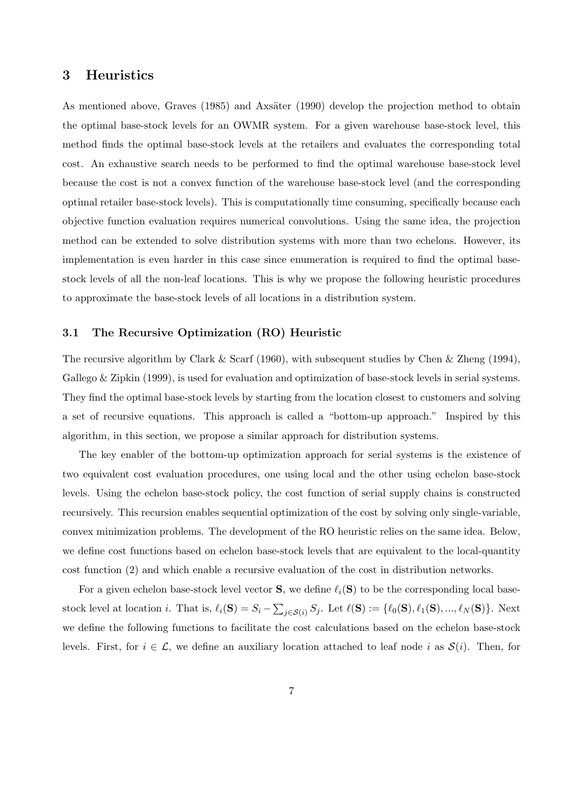## **3 Heuristics**

As mentioned above, Graves (1985) and Axsäter (1990) develop the projection method to obtain the optimal base-stock levels for an OWMR system. For a given warehouse base-stock level, this method finds the optimal base-stock levels at the retailers and evaluates the corresponding total cost. An exhaustive search needs to be performed to find the optimal warehouse base-stock level because the cost is not a convex function of the warehouse base-stock level (and the corresponding optimal retailer base-stock levels). This is computationally time consuming, specifically because each objective function evaluation requires numerical convolutions. Using the same idea, the projection method can be extended to solve distribution systems with more than two echelons. However, its implementation is even harder in this case since enumeration is required to find the optimal basestock levels of all the non-leaf locations. This is why we propose the following heuristic procedures to approximate the base-stock levels of all locations in a distribution system.

## **3.1 The Recursive Optimization (RO) Heuristic**

The recursive algorithm by Clark & Scarf (1960), with subsequent studies by Chen & Zheng (1994), Gallego & Zipkin (1999), is used for evaluation and optimization of base-stock levels in serial systems. They find the optimal base-stock levels by starting from the location closest to customers and solving a set of recursive equations. This approach is called a "bottom-up approach." Inspired by this algorithm, in this section, we propose a similar approach for distribution systems.

The key enabler of the bottom-up optimization approach for serial systems is the existence of two equivalent cost evaluation procedures, one using local and the other using echelon base-stock levels. Using the echelon base-stock policy, the cost function of serial supply chains is constructed recursively. This recursion enables sequential optimization of the cost by solving only single-variable, convex minimization problems. The development of the RO heuristic relies on the same idea. Below, we define cost functions based on echelon base-stock levels that are equivalent to the local-quantity cost function (2) and which enable a recursive evaluation of the cost in distribution networks.

For a given echelon base-stock level vector **S**, we define  $\ell_i(\mathbf{S})$  to be the corresponding local basestock level at location *i*. That is,  $\ell_i(\mathbf{S}) = S_i - \sum_{j \in \mathcal{S}(i)} S_j$ . Let  $\ell(\mathbf{S}) := \{\ell_0(\mathbf{S}), \ell_1(\mathbf{S}), ..., \ell_N(\mathbf{S})\}$ . Next we define the following functions to facilitate the cost calculations based on the echelon base-stock levels. First, for  $i \in \mathcal{L}$ , we define an auxiliary location attached to leaf node *i* as  $\mathcal{S}(i)$ . Then, for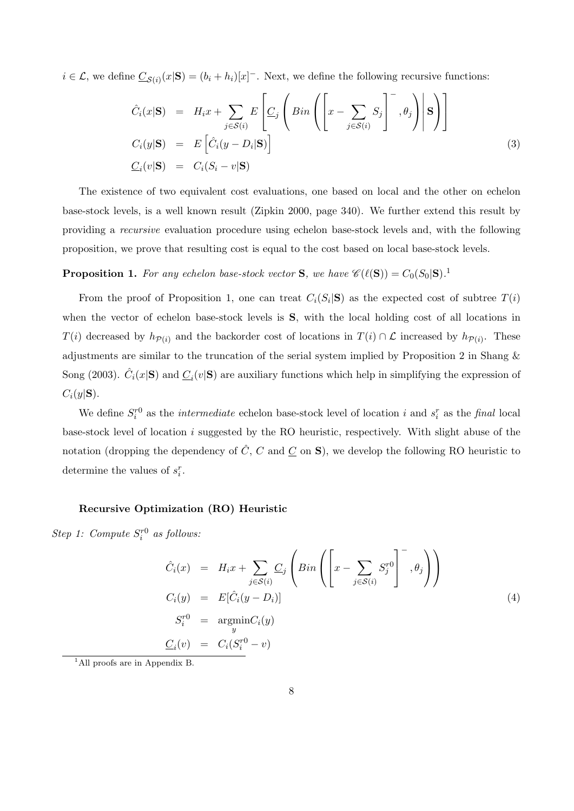$i \in \mathcal{L}$ , we define  $\underline{C}_{\mathcal{S}(i)}(x|\mathbf{S}) = (b_i + h_i)[x]$ <sup>-</sup>. Next, we define the following recursive functions:

$$
\hat{C}_i(x|\mathbf{S}) = H_i x + \sum_{j \in S(i)} E\left[\underline{C}_j \left(Bin\left(\left[x - \sum_{j \in S(i)} S_j\right]^{-}, \theta_j\right) | \mathbf{S}\right)\right]
$$
  
\n
$$
C_i(y|\mathbf{S}) = E\left[\hat{C}_i(y - D_i|\mathbf{S})\right]
$$
  
\n
$$
\underline{C}_i(v|\mathbf{S}) = C_i(S_i - v|\mathbf{S})
$$
\n(3)

The existence of two equivalent cost evaluations, one based on local and the other on echelon base-stock levels, is a well known result (Zipkin 2000, page 340). We further extend this result by providing a *recursive* evaluation procedure using echelon base-stock levels and, with the following proposition, we prove that resulting cost is equal to the cost based on local base-stock levels.

**Proposition 1.** For any echelon base-stock vector **S**, we have  $\mathscr{C}(\ell(\mathbf{S})) = C_0(S_0|\mathbf{S})^1$ 

From the proof of Proposition 1, one can treat  $C_i(S_i|S)$  as the expected cost of subtree  $T(i)$ when the vector of echelon base-stock levels is **S**, with the local holding cost of all locations in *T*(*i*) decreased by  $h_{\mathcal{P}(i)}$  and the backorder cost of locations in  $T(i) \cap \mathcal{L}$  increased by  $h_{\mathcal{P}(i)}$ . These adjustments are similar to the truncation of the serial system implied by Proposition 2 in Shang & Song (2003).  $\hat{C}_i(x|\mathbf{S})$  and  $\underline{C}_i(v|\mathbf{S})$  are auxiliary functions which help in simplifying the expression of  $C_i(y|\mathbf{S})$ .

We define  $S_i^{r0}$  as the *intermediate* echelon base-stock level of location *i* and  $s_i^r$  as the *final* local base-stock level of location *i* suggested by the RO heuristic, respectively. With slight abuse of the notation (dropping the dependency of  $\hat{C}$ ,  $C$  and  $C$  on **S**), we develop the following RO heuristic to determine the values of  $s_i^r$ .

### **Recursive Optimization (RO) Heuristic**

*Step 1: Compute*  $S_i^{r0}$  *as follows:* 

$$
\hat{C}_i(x) = H_i x + \sum_{j \in S(i)} C_j \left( Bin \left( \left[ x - \sum_{j \in S(i)} S_j^{r0} \right]^-, \theta_j \right) \right)
$$
  
\n
$$
C_i(y) = E[\hat{C}_i(y - D_i)]
$$
  
\n
$$
S_i^{r0} = \underset{y}{\operatorname{argmin}} C_i(y)
$$
  
\n
$$
\underline{C}_i(v) = C_i(S_i^{r0} - v)
$$
\n(4)

<sup>&</sup>lt;sup>1</sup>All proofs are in Appendix B.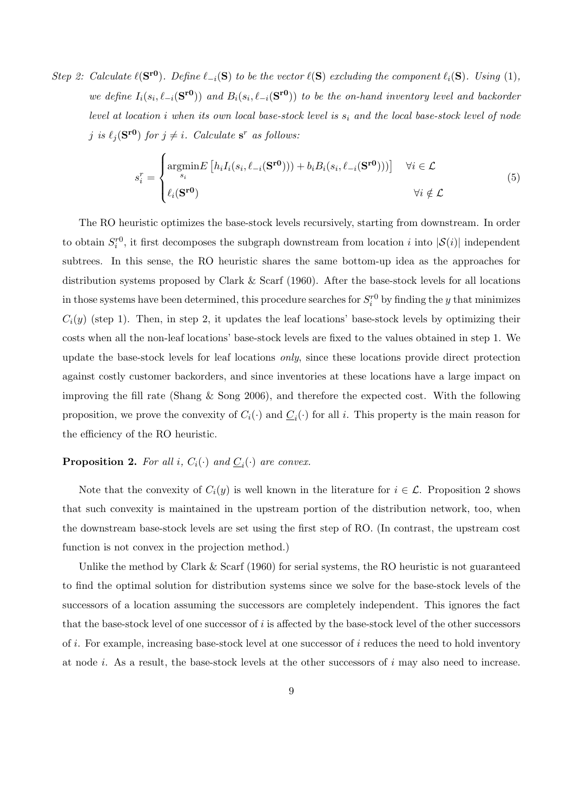Step 2: Calculate  $\ell(\mathbf{S}^{\mathbf{r0}})$ . Define  $\ell_{-i}(\mathbf{S})$  to be the vector  $\ell(\mathbf{S})$  excluding the component  $\ell_i(\mathbf{S})$ . Using (1), we define  $I_i(s_i, \ell_{-i}(\mathbf{S}^{r0}))$  and  $B_i(s_i, \ell_{-i}(\mathbf{S}^{r0}))$  to be the on-hand inventory level and backorder *level at location i when its own local base-stock level is s<sup>i</sup> and the local base-stock level of node j is*  $\ell_j(\mathbf{S}^{\{r\{\mathbf{0}\}}} \text{ for } j \neq i$ . Calculate  $\mathbf{s}^r$  *as follows:* 

$$
s_i^r = \begin{cases} \underset{s_i}{\text{argmin}} E\left[h_i I_i(s_i, \ell_{-i}(\mathbf{S}^{\mathbf{r0}}))\right) + b_i B_i(s_i, \ell_{-i}(\mathbf{S}^{\mathbf{r0}}))\right] & \forall i \in \mathcal{L} \\ \ell_i(\mathbf{S}^{\mathbf{r0}}) & \forall i \notin \mathcal{L} \end{cases} \tag{5}
$$

The RO heuristic optimizes the base-stock levels recursively, starting from downstream. In order to obtain  $S_i^{r0}$ , it first decomposes the subgraph downstream from location *i* into  $|S(i)|$  independent subtrees. In this sense, the RO heuristic shares the same bottom-up idea as the approaches for distribution systems proposed by Clark  $&$  Scarf (1960). After the base-stock levels for all locations in those systems have been determined, this procedure searches for  $S_i^{\{r\}}$  by finding the *y* that minimizes  $C_i(y)$  (step 1). Then, in step 2, it updates the leaf locations' base-stock levels by optimizing their costs when all the non-leaf locations' base-stock levels are fixed to the values obtained in step 1. We update the base-stock levels for leaf locations *only*, since these locations provide direct protection against costly customer backorders, and since inventories at these locations have a large impact on improving the fill rate (Shang & Song 2006), and therefore the expected cost. With the following proposition, we prove the convexity of  $C_i(\cdot)$  and  $\underline{C_i(\cdot)}$  for all *i*. This property is the main reason for the efficiency of the RO heuristic.

## **Proposition 2.** For all *i*,  $C_i(\cdot)$  and  $C_i(\cdot)$  are convex.

Note that the convexity of  $C_i(y)$  is well known in the literature for  $i \in \mathcal{L}$ . Proposition 2 shows that such convexity is maintained in the upstream portion of the distribution network, too, when the downstream base-stock levels are set using the first step of RO. (In contrast, the upstream cost function is not convex in the projection method.)

Unlike the method by Clark  $&$  Scarf (1960) for serial systems, the RO heuristic is not guaranteed to find the optimal solution for distribution systems since we solve for the base-stock levels of the successors of a location assuming the successors are completely independent. This ignores the fact that the base-stock level of one successor of *i* is affected by the base-stock level of the other successors of *i*. For example, increasing base-stock level at one successor of *i* reduces the need to hold inventory at node *i*. As a result, the base-stock levels at the other successors of *i* may also need to increase.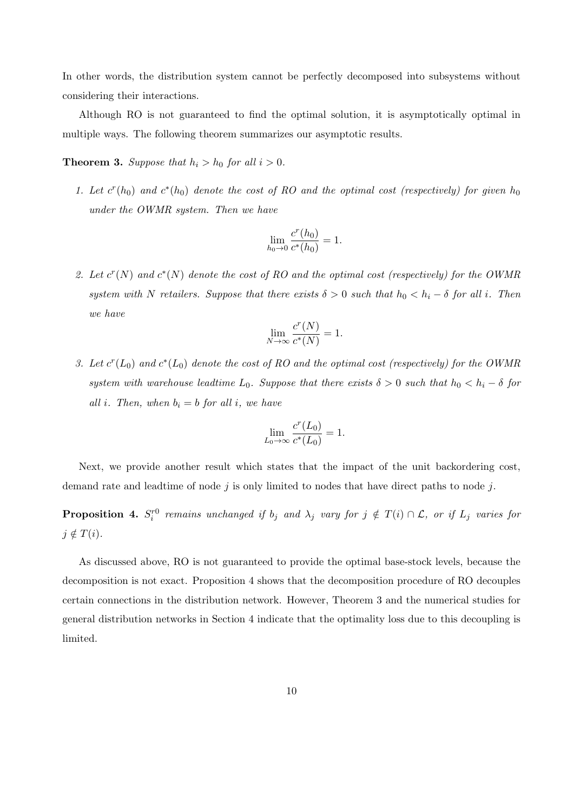In other words, the distribution system cannot be perfectly decomposed into subsystems without considering their interactions.

Although RO is not guaranteed to find the optimal solution, it is asymptotically optimal in multiple ways. The following theorem summarizes our asymptotic results.

## **Theorem 3.** *Suppose that*  $h_i > h_0$  *for all*  $i > 0$ *.*

1. Let  $c^r(h_0)$  and  $c^*(h_0)$  denote the cost of RO and the optimal cost (respectively) for given  $h_0$ *under the OWMR system. Then we have*

$$
\lim_{h_0 \to 0} \frac{c^r(h_0)}{c^*(h_0)} = 1.
$$

2. Let  $c^r(N)$  and  $c^*(N)$  denote the cost of RO and the optimal cost (respectively) for the OWMR *system with N retailers. Suppose that there exists*  $\delta > 0$  *such that*  $h_0 < h_i - \delta$  *for all i. Then we have*

$$
\lim_{N \to \infty} \frac{c^r(N)}{c^*(N)} = 1.
$$

*3.* Let  $c^r(L_0)$  and  $c^*(L_0)$  denote the cost of RO and the optimal cost (respectively) for the OWMR *system with warehouse leadtime*  $L_0$ *. Suppose that there exists*  $\delta > 0$  *such that*  $h_0 < h_i - \delta$  *for all i. Then, when*  $b_i = b$  *for all i, we have* 

$$
\lim_{L_0 \to \infty} \frac{c^r(L_0)}{c^*(L_0)} = 1.
$$

Next, we provide another result which states that the impact of the unit backordering cost, demand rate and leadtime of node *j* is only limited to nodes that have direct paths to node *j*.

**Proposition 4.**  $S_i^{r0}$  remains unchanged if  $b_j$  and  $\lambda_j$  vary for  $j \notin T(i) \cap \mathcal{L}$ , or if  $L_j$  varies for  $j \notin T(i)$ .

As discussed above, RO is not guaranteed to provide the optimal base-stock levels, because the decomposition is not exact. Proposition 4 shows that the decomposition procedure of RO decouples certain connections in the distribution network. However, Theorem 3 and the numerical studies for general distribution networks in Section 4 indicate that the optimality loss due to this decoupling is limited.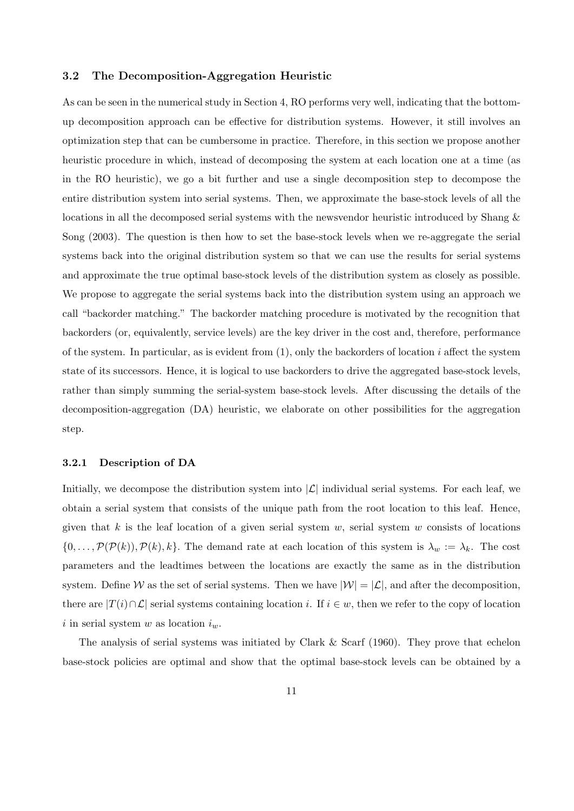## **3.2 The Decomposition-Aggregation Heuristic**

As can be seen in the numerical study in Section 4, RO performs very well, indicating that the bottomup decomposition approach can be effective for distribution systems. However, it still involves an optimization step that can be cumbersome in practice. Therefore, in this section we propose another heuristic procedure in which, instead of decomposing the system at each location one at a time (as in the RO heuristic), we go a bit further and use a single decomposition step to decompose the entire distribution system into serial systems. Then, we approximate the base-stock levels of all the locations in all the decomposed serial systems with the newsvendor heuristic introduced by Shang & Song (2003). The question is then how to set the base-stock levels when we re-aggregate the serial systems back into the original distribution system so that we can use the results for serial systems and approximate the true optimal base-stock levels of the distribution system as closely as possible. We propose to aggregate the serial systems back into the distribution system using an approach we call "backorder matching." The backorder matching procedure is motivated by the recognition that backorders (or, equivalently, service levels) are the key driver in the cost and, therefore, performance of the system. In particular, as is evident from (1), only the backorders of location *i* affect the system state of its successors. Hence, it is logical to use backorders to drive the aggregated base-stock levels, rather than simply summing the serial-system base-stock levels. After discussing the details of the decomposition-aggregation (DA) heuristic, we elaborate on other possibilities for the aggregation step.

### **3.2.1 Description of DA**

Initially, we decompose the distribution system into  $|\mathcal{L}|$  individual serial systems. For each leaf, we obtain a serial system that consists of the unique path from the root location to this leaf. Hence, given that *k* is the leaf location of a given serial system *w*, serial system *w* consists of locations  $\{0,\ldots,\mathcal{P}(\mathcal{P}(k)),\mathcal{P}(k),k\}$ . The demand rate at each location of this system is  $\lambda_w := \lambda_k$ . The cost parameters and the leadtimes between the locations are exactly the same as in the distribution system. Define *W* as the set of serial systems. Then we have  $|W| = |\mathcal{L}|$ , and after the decomposition, there are  $|T(i) \cap \mathcal{L}|$  serial systems containing location *i*. If  $i \in w$ , then we refer to the copy of location *i* in serial system *w* as location *iw*.

The analysis of serial systems was initiated by Clark & Scarf (1960). They prove that echelon base-stock policies are optimal and show that the optimal base-stock levels can be obtained by a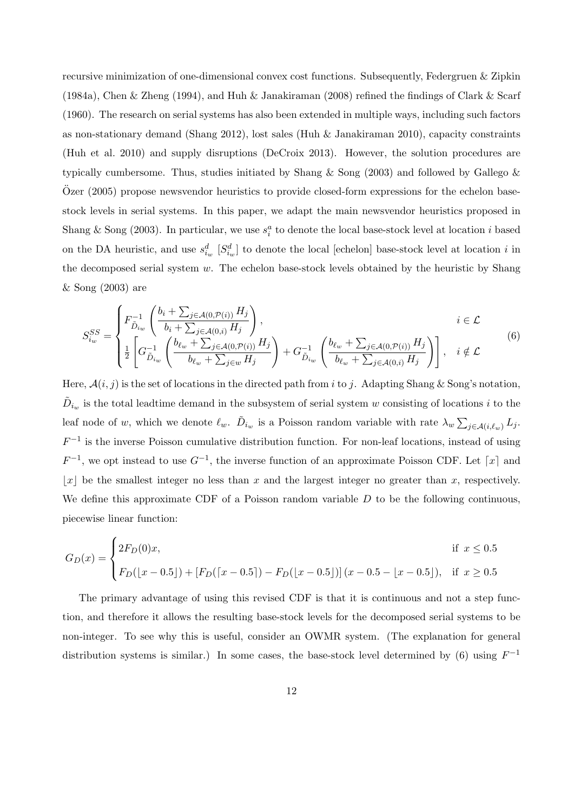recursive minimization of one-dimensional convex cost functions. Subsequently, Federgruen & Zipkin (1984a), Chen & Zheng (1994), and Huh & Janakiraman (2008) refined the findings of Clark & Scarf (1960). The research on serial systems has also been extended in multiple ways, including such factors as non-stationary demand (Shang 2012), lost sales (Huh  $\&$  Janakiraman 2010), capacity constraints (Huh et al. 2010) and supply disruptions (DeCroix 2013). However, the solution procedures are typically cumbersome. Thus, studies initiated by Shang & Song (2003) and followed by Gallego & Ozer  $(2005)$  propose newsvendor heuristics to provide closed-form expressions for the echelon basestock levels in serial systems. In this paper, we adapt the main newsvendor heuristics proposed in Shang & Song (2003). In particular, we use  $s_i^a$  to denote the local base-stock level at location *i* based on the DA heuristic, and use  $s_{i_w}^d$   $[S_{i_w}^d]$  to denote the local [echelon] base-stock level at location *i* in the decomposed serial system *w*. The echelon base-stock levels obtained by the heuristic by Shang & Song (2003) are

$$
S_{i_w}^{SS} = \begin{cases} F_{\tilde{D}_{i_w}}^{-1} \left( \frac{b_i + \sum_{j \in \mathcal{A}(0, \mathcal{P}(i))} H_j}{b_i + \sum_{j \in \mathcal{A}(0, i)} H_j} \right), & i \in \mathcal{L} \\ \frac{1}{2} \left[ G_{\tilde{D}_{i_w}}^{-1} \left( \frac{b_{\ell_w} + \sum_{j \in \mathcal{A}(0, \mathcal{P}(i))} H_j}{b_{\ell_w} + \sum_{j \in w} H_j} \right) + G_{\tilde{D}_{i_w}}^{-1} \left( \frac{b_{\ell_w} + \sum_{j \in \mathcal{A}(0, \mathcal{P}(i))} H_j}{b_{\ell_w} + \sum_{j \in \mathcal{A}(0, i)} H_j} \right) \right], & i \notin \mathcal{L} \end{cases}
$$
(6)

Here,  $\mathcal{A}(i, j)$  is the set of locations in the directed path from *i* to *j*. Adapting Shang & Song's notation,  $\tilde{D}_{i_w}$  is the total leadtime demand in the subsystem of serial system *w* consisting of locations *i* to the leaf node of *w*, which we denote  $\ell_w$ .  $\tilde{D}_{i_w}$  is a Poisson random variable with rate  $\lambda_w \sum_{j \in \mathcal{A}(i,\ell_w)} L_j$ . *F*<sup>-1</sup> is the inverse Poisson cumulative distribution function. For non-leaf locations, instead of using  $F^{-1}$ , we opt instead to use  $G^{-1}$ , the inverse function of an approximate Poisson CDF. Let  $\lceil x \rceil$  and  $|x|$  be the smallest integer no less than *x* and the largest integer no greater than *x*, respectively. We define this approximate CDF of a Poisson random variable *D* to be the following continuous, piecewise linear function:

$$
G_D(x) = \begin{cases} 2F_D(0)x, & \text{if } x \le 0.5\\ F_D(\lfloor x - 0.5 \rfloor) + [F_D(\lceil x - 0.5 \rceil) - F_D(\lfloor x - 0.5 \rfloor)](x - 0.5 - \lfloor x - 0.5 \rfloor), & \text{if } x \ge 0.5 \end{cases}
$$

The primary advantage of using this revised CDF is that it is continuous and not a step function, and therefore it allows the resulting base-stock levels for the decomposed serial systems to be non-integer. To see why this is useful, consider an OWMR system. (The explanation for general distribution systems is similar.) In some cases, the base-stock level determined by (6) using  $F^{-1}$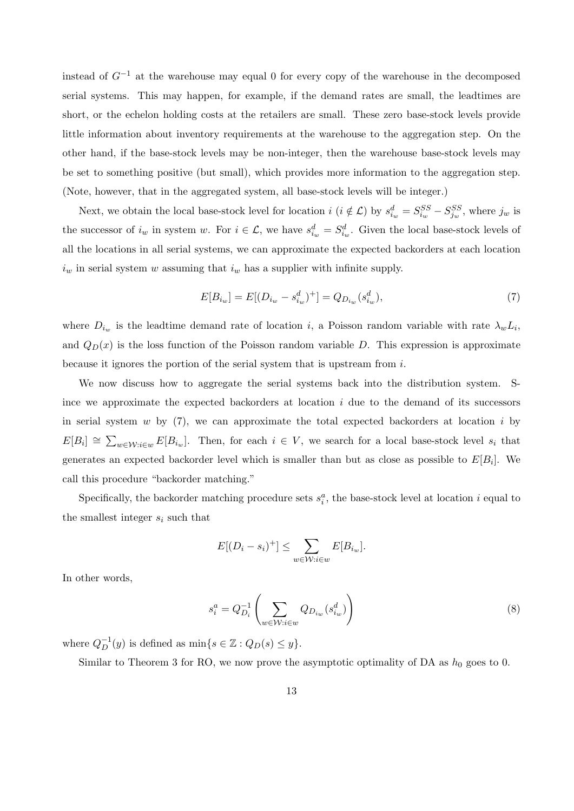instead of *G−*<sup>1</sup> at the warehouse may equal 0 for every copy of the warehouse in the decomposed serial systems. This may happen, for example, if the demand rates are small, the leadtimes are short, or the echelon holding costs at the retailers are small. These zero base-stock levels provide little information about inventory requirements at the warehouse to the aggregation step. On the other hand, if the base-stock levels may be non-integer, then the warehouse base-stock levels may be set to something positive (but small), which provides more information to the aggregation step. (Note, however, that in the aggregated system, all base-stock levels will be integer.)

Next, we obtain the local base-stock level for location  $i$   $(i \notin \mathcal{L})$  by  $s_{i_w}^d = S_{i_w}^{SS} - S_{j_w}^{SS}$ , where  $j_w$  is the successor of  $i_w$  in system *w*. For  $i \in \mathcal{L}$ , we have  $s_{i_w}^d = S_{i_w}^d$ . Given the local base-stock levels of all the locations in all serial systems, we can approximate the expected backorders at each location  $i_w$  in serial system *w* assuming that  $i_w$  has a supplier with infinite supply.

$$
E[B_{i_w}] = E[(D_{i_w} - s_{i_w}^d)^+] = Q_{D_{i_w}}(s_{i_w}^d),\tag{7}
$$

where  $D_{i_w}$  is the leadtime demand rate of location *i*, a Poisson random variable with rate  $\lambda_w L_i$ , and  $Q_D(x)$  is the loss function of the Poisson random variable *D*. This expression is approximate because it ignores the portion of the serial system that is upstream from *i*.

We now discuss how to aggregate the serial systems back into the distribution system. Since we approximate the expected backorders at location *i* due to the demand of its successors in serial system  $w$  by  $(7)$ , we can approximate the total expected backorders at location  $i$  by  $E[B_i] \cong \sum_{w \in \mathcal{W}: i \in w} E[B_i]$ . Then, for each  $i \in V$ , we search for a local base-stock level  $s_i$  that generates an expected backorder level which is smaller than but as close as possible to *E*[*B<sup>i</sup>* ]. We call this procedure "backorder matching."

Specifically, the backorder matching procedure sets  $s_i^a$ , the base-stock level at location *i* equal to the smallest integer  $s_i$  such that

$$
E[(D_i - s_i)^+] \le \sum_{w \in \mathcal{W}: i \in w} E[B_{i_w}].
$$

In other words,

$$
s_i^a = Q_{D_i}^{-1} \left( \sum_{w \in \mathcal{W}: i \in w} Q_{D_{i_w}}(s_{i_w}^d) \right) \tag{8}
$$

where  $Q_D^{-1}(y)$  is defined as  $\min\{s \in \mathbb{Z} : Q_D(s) \leq y\}.$ 

Similar to Theorem 3 for RO, we now prove the asymptotic optimality of DA as  $h_0$  goes to 0.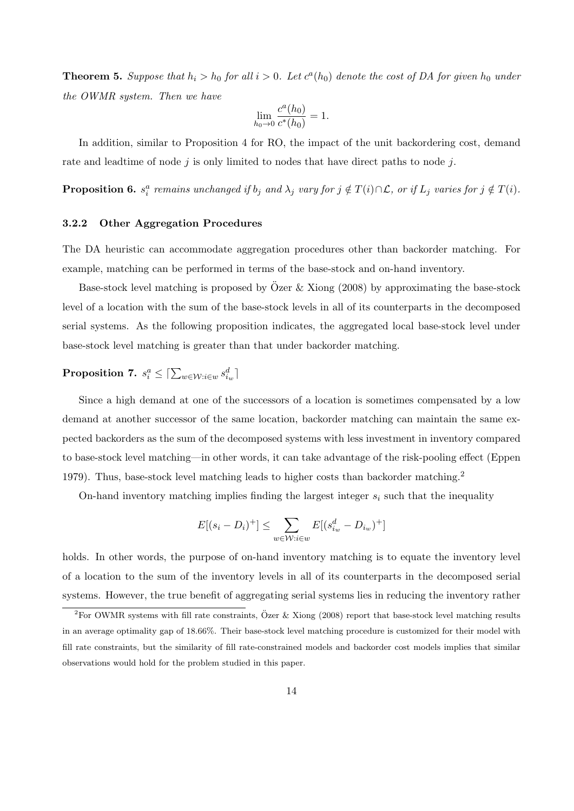**Theorem 5.** Suppose that  $h_i > h_0$  for all  $i > 0$ . Let  $c^a(h_0)$  denote the cost of DA for given  $h_0$  under *the OWMR system. Then we have*

$$
\lim_{h_0 \to 0} \frac{c^a(h_0)}{c^*(h_0)} = 1.
$$

In addition, similar to Proposition 4 for RO, the impact of the unit backordering cost, demand rate and leadtime of node *j* is only limited to nodes that have direct paths to node *j*.

**Proposition 6.**  $s_i^a$  remains unchanged if  $b_j$  and  $\lambda_j$  vary for  $j \notin T(i) \cap \mathcal{L}$ , or if  $L_j$  varies for  $j \notin T(i)$ .

### **3.2.2 Other Aggregation Procedures**

The DA heuristic can accommodate aggregation procedures other than backorder matching. For example, matching can be performed in terms of the base-stock and on-hand inventory.

Base-stock level matching is proposed by Ozer  $\&$  Xiong (2008) by approximating the base-stock level of a location with the sum of the base-stock levels in all of its counterparts in the decomposed serial systems. As the following proposition indicates, the aggregated local base-stock level under base-stock level matching is greater than that under backorder matching.

## ${\bf Proposition 7.} \ \ s_i^a \leq \lceil \sum_{w \in \mathcal{W}: i \in w} s_{i_w}^d \rceil$

Since a high demand at one of the successors of a location is sometimes compensated by a low demand at another successor of the same location, backorder matching can maintain the same expected backorders as the sum of the decomposed systems with less investment in inventory compared to base-stock level matching—in other words, it can take advantage of the risk-pooling effect (Eppen 1979). Thus, base-stock level matching leads to higher costs than backorder matching.<sup>2</sup>

On-hand inventory matching implies finding the largest integer  $s_i$  such that the inequality

$$
E[(s_i - D_i)^+] \le \sum_{w \in \mathcal{W}: i \in w} E[(s_{i_w}^d - D_{i_w})^+]
$$

holds. In other words, the purpose of on-hand inventory matching is to equate the inventory level of a location to the sum of the inventory levels in all of its counterparts in the decomposed serial systems. However, the true benefit of aggregating serial systems lies in reducing the inventory rather

<sup>&</sup>lt;sup>2</sup>For OWMR systems with fill rate constraints, Özer & Xiong (2008) report that base-stock level matching results in an average optimality gap of 18.66%. Their base-stock level matching procedure is customized for their model with fill rate constraints, but the similarity of fill rate-constrained models and backorder cost models implies that similar observations would hold for the problem studied in this paper.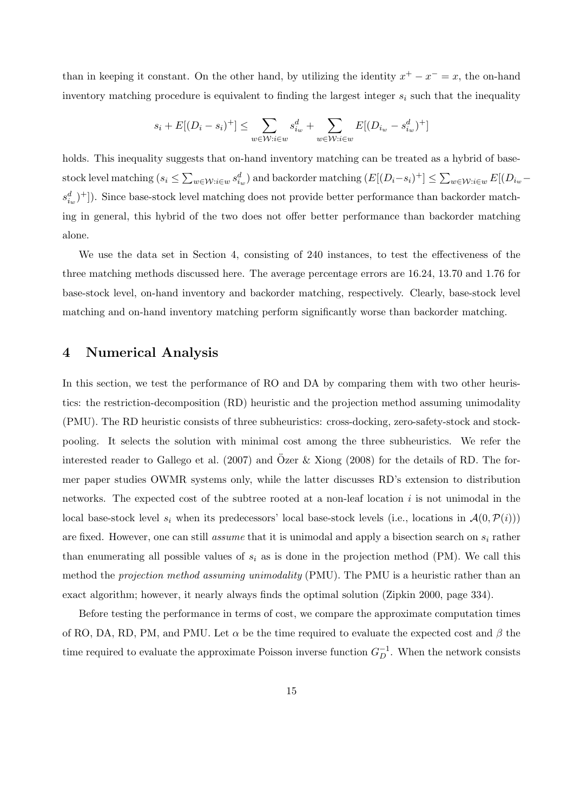than in keeping it constant. On the other hand, by utilizing the identity  $x^+ - x^- = x$ , the on-hand inventory matching procedure is equivalent to finding the largest integer *s<sup>i</sup>* such that the inequality

$$
s_i + E[(D_i - s_i)^+] \le \sum_{w \in \mathcal{W}: i \in w} s_{i_w}^d + \sum_{w \in \mathcal{W}: i \in w} E[(D_{i_w} - s_{i_w}^d)^+]
$$

holds. This inequality suggests that on-hand inventory matching can be treated as a hybrid of basestock level matching  $(s_i \leq \sum_{w \in \mathcal{W}: i \in w} s_{i_w}^d)$  and backorder matching  $(E[(D_i - s_i)^+] \leq \sum_{w \in \mathcal{W}: i \in w} E[(D_{i_w}$  $s_{i_w}^d$ <sup>+</sup>]). Since base-stock level matching does not provide better performance than backorder matching in general, this hybrid of the two does not offer better performance than backorder matching alone.

We use the data set in Section 4, consisting of 240 instances, to test the effectiveness of the three matching methods discussed here. The average percentage errors are 16*.*24, 13*.*70 and 1*.*76 for base-stock level, on-hand inventory and backorder matching, respectively. Clearly, base-stock level matching and on-hand inventory matching perform significantly worse than backorder matching.

## **4 Numerical Analysis**

In this section, we test the performance of RO and DA by comparing them with two other heuristics: the restriction-decomposition (RD) heuristic and the projection method assuming unimodality (PMU). The RD heuristic consists of three subheuristics: cross-docking, zero-safety-stock and stockpooling. It selects the solution with minimal cost among the three subheuristics. We refer the interested reader to Gallego et al. (2007) and Özer & Xiong (2008) for the details of RD. The former paper studies OWMR systems only, while the latter discusses RD's extension to distribution networks. The expected cost of the subtree rooted at a non-leaf location *i* is not unimodal in the local base-stock level  $s_i$  when its predecessors' local base-stock levels (i.e., locations in  $\mathcal{A}(0, \mathcal{P}(i))$ ) are fixed. However, one can still *assume* that it is unimodal and apply a bisection search on *s<sup>i</sup>* rather than enumerating all possible values of  $s_i$  as is done in the projection method (PM). We call this method the *projection method assuming unimodality* (PMU). The PMU is a heuristic rather than an exact algorithm; however, it nearly always finds the optimal solution (Zipkin 2000, page 334).

Before testing the performance in terms of cost, we compare the approximate computation times of RO, DA, RD, PM, and PMU. Let  $\alpha$  be the time required to evaluate the expected cost and  $\beta$  the time required to evaluate the approximate Poisson inverse function  $G_D^{-1}$ . When the network consists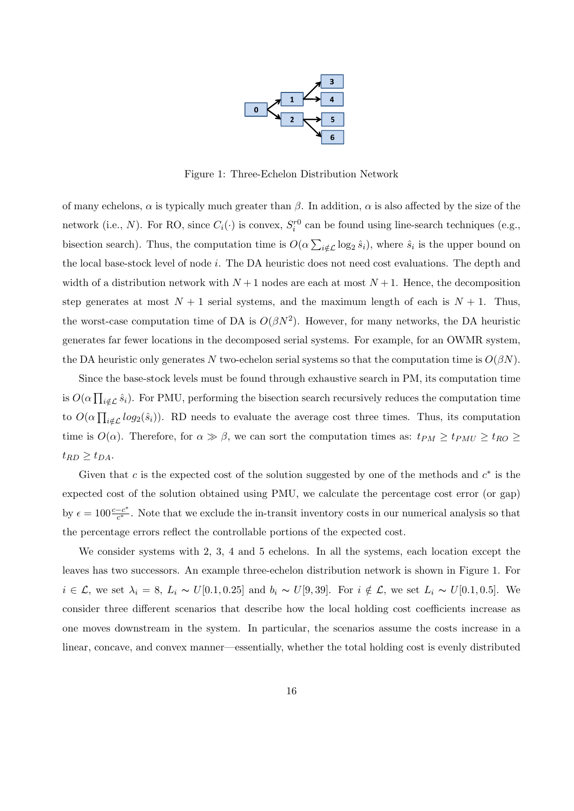

Figure 1: Three-Echelon Distribution Network

of many echelons, *α* is typically much greater than *β*. In addition, *α* is also affected by the size of the network (i.e., N). For RO, since  $C_i(\cdot)$  is convex,  $S_i^{r0}$  can be found using line-search techniques (e.g., bisection search). Thus, the computation time is  $O(\alpha \sum_{i \notin \mathcal{L}} \log_2 \hat{s}_i)$ , where  $\hat{s}_i$  is the upper bound on the local base-stock level of node *i*. The DA heuristic does not need cost evaluations. The depth and width of a distribution network with  $N+1$  nodes are each at most  $N+1$ . Hence, the decomposition step generates at most  $N+1$  serial systems, and the maximum length of each is  $N+1$ . Thus, the worst-case computation time of DA is  $O(\beta N^2)$ . However, for many networks, the DA heuristic generates far fewer locations in the decomposed serial systems. For example, for an OWMR system, the DA heuristic only generates *N* two-echelon serial systems so that the computation time is *O*(*βN*).

Since the base-stock levels must be found through exhaustive search in PM, its computation time is  $O(\alpha \prod_{i \notin \mathcal{L}} \hat{s}_i)$ . For PMU, performing the bisection search recursively reduces the computation time to  $O(\alpha \prod_{i \notin \mathcal{L}} log_2(\hat{s}_i))$ . RD needs to evaluate the average cost three times. Thus, its computation time is  $O(\alpha)$ . Therefore, for  $\alpha \gg \beta$ , we can sort the computation times as:  $t_{PM} \geq t_{PMU} \geq t_{RO} \geq$  $t_{RD} \geq t_{DA}$ .

Given that *c* is the expected cost of the solution suggested by one of the methods and  $c^*$  is the expected cost of the solution obtained using PMU, we calculate the percentage cost error (or gap) by  $\epsilon = 100 \frac{c - c^*}{c^*}$ . Note that we exclude the in-transit inventory costs in our numerical analysis so that the percentage errors reflect the controllable portions of the expected cost.

We consider systems with 2, 3, 4 and 5 echelons. In all the systems, each location except the leaves has two successors. An example three-echelon distribution network is shown in Figure 1. For  $i \in \mathcal{L}$ , we set  $\lambda_i = 8$ ,  $L_i \sim U[0.1, 0.25]$  and  $b_i \sim U[9, 39]$ . For  $i \notin \mathcal{L}$ , we set  $L_i \sim U[0.1, 0.5]$ . We consider three different scenarios that describe how the local holding cost coefficients increase as one moves downstream in the system. In particular, the scenarios assume the costs increase in a linear, concave, and convex manner—essentially, whether the total holding cost is evenly distributed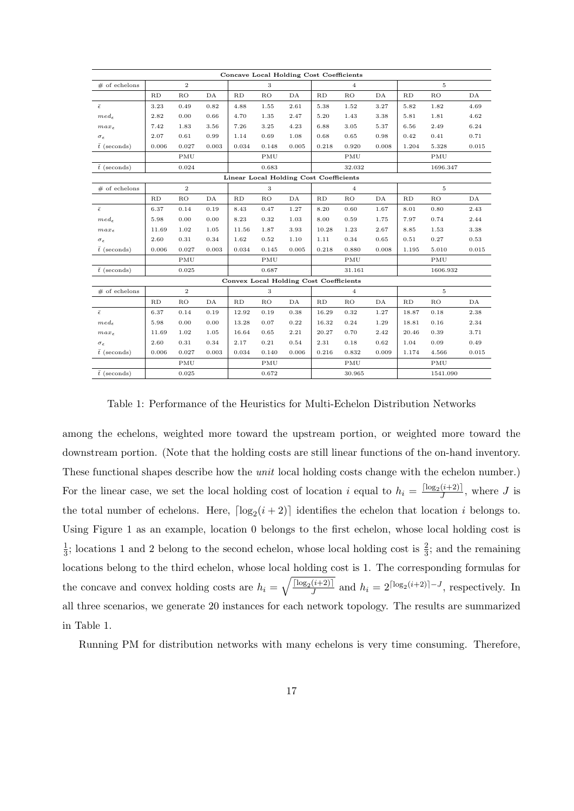|                                        |                                        |           |       | Concave Local Holding Cost Coefficients |           |                |                |           |       |          |           |       |
|----------------------------------------|----------------------------------------|-----------|-------|-----------------------------------------|-----------|----------------|----------------|-----------|-------|----------|-----------|-------|
| $#$ of echelons                        | $\overline{2}$                         |           |       | 3                                       |           |                | $\overline{4}$ |           |       | 5        |           |       |
|                                        | RD                                     | <b>RO</b> | DA    | RD                                      | <b>RO</b> | DA             | RD             | <b>RO</b> | DA    | RD       | <b>RO</b> | DA    |
| $\bar{\epsilon}$                       | 3.23                                   | 0.49      | 0.82  | 4.88                                    | 1.55      | 2.61           | 5.38           | 1.52      | 3.27  | 5.82     | 1.82      | 4.69  |
| $med_{\epsilon}$                       | 2.82                                   | 0.00      | 0.66  | 4.70                                    | 1.35      | 2.47           | 5.20           | 1.43      | 3.38  | 5.81     | 1.81      | 4.62  |
| $max_{\epsilon}$                       | 7.42                                   | 1.83      | 3.56  | 7.26                                    | 3.25      | 4.23           | 6.88           | 3.05      | 5.37  | 6.56     | 2.49      | 6.24  |
| $\sigma_{\epsilon}$                    | 2.07                                   | 0.61      | 0.99  | 1.14                                    | 0.69      | 1.08           | 0.68           | 0.65      | 0.98  | 0.42     | 0.41      | 0.71  |
| $\bar{t}$ (seconds)                    | 0.006                                  | 0.027     | 0.003 | 0.034                                   | 0.148     | 0.005          | 0.218          | 0.920     | 0.008 | 1.204    | 5.328     | 0.015 |
|                                        |                                        | PMU       |       |                                         | PMU       |                |                | PMU       |       |          | PMU       |       |
| $\bar{t}$ (seconds)                    |                                        | 0.024     |       |                                         | 0.683     |                |                | 32.032    |       |          | 1696.347  |       |
| Linear Local Holding Cost Coefficients |                                        |           |       |                                         |           |                |                |           |       |          |           |       |
| $#$ of echelons                        | $\overline{2}$                         |           |       | 3                                       |           |                | $\overline{4}$ |           |       | 5        |           |       |
|                                        | RD                                     | <b>RO</b> | DA    | RD                                      | <b>RO</b> | DA             | RD             | <b>RO</b> | DA    | RD       | <b>RO</b> | DA    |
| $\bar{\epsilon}$                       | 6.37                                   | 0.14      | 0.19  | 8.43                                    | 0.47      | 1.27           | 8.20           | 0.60      | 1.67  | 8.01     | 0.80      | 2.43  |
| $med_{\epsilon}$                       | 5.98                                   | 0.00      | 0.00  | 8.23                                    | 0.32      | 1.03           | 8.00           | 0.59      | 1.75  | 7.97     | 0.74      | 2.44  |
| $max_{\epsilon}$                       | 11.69                                  | 1.02      | 1.05  | 11.56                                   | 1.87      | 3.93           | 10.28          | 1.23      | 2.67  | 8.85     | 1.53      | 3.38  |
| $\sigma_{\epsilon}$                    | 2.60                                   | 0.31      | 0.34  | 1.62                                    | 0.52      | 1.10           | 1.11           | 0.34      | 0.65  | 0.51     | 0.27      | 0.53  |
| $\bar{t}$ (seconds)                    | 0.006                                  | 0.027     | 0.003 | 0.034                                   | 0.145     | 0.005          | 0.218          | 0.880     | 0.008 | 1.195    | 5.010     | 0.015 |
|                                        |                                        | PMU       |       |                                         | PMU       |                |                | PMU       |       |          | PMU       |       |
| $\bar{t}$ (seconds)                    | 0.025                                  |           |       | 0.687                                   |           |                | 31.161         |           |       | 1606.932 |           |       |
|                                        | Convex Local Holding Cost Coefficients |           |       |                                         |           |                |                |           |       |          |           |       |
| $#$ of echelons                        | $\overline{2}$                         |           | 3     |                                         |           | $\overline{4}$ |                |           | 5     |          |           |       |
|                                        | RD                                     | <b>RO</b> | DA    | RD                                      | <b>RO</b> | DA             | RD             | RO        | DA    | RD       | RO        | DA    |
| $\bar{\epsilon}$                       | 6.37                                   | 0.14      | 0.19  | 12.92                                   | 0.19      | 0.38           | 16.29          | 0.32      | 1.27  | 18.87    | 0.18      | 2.38  |
| $med_{\epsilon}$                       | 5.98                                   | 0.00      | 0.00  | 13.28                                   | 0.07      | 0.22           | 16.32          | 0.24      | 1.29  | 18.81    | 0.16      | 2.34  |
| $max_{\epsilon}$                       | 11.69                                  | 1.02      | 1.05  | 16.64                                   | 0.65      | 2.21           | 20.27          | 0.70      | 2.42  | 20.46    | 0.39      | 3.71  |
| $\sigma_{\epsilon}$                    | 2.60                                   | 0.31      | 0.34  | 2.17                                    | 0.21      | 0.54           | 2.31           | 0.18      | 0.62  | 1.04     | 0.09      | 0.49  |
| $\bar{t}$ (seconds)                    | 0.006                                  | 0.027     | 0.003 | 0.034                                   | 0.140     | 0.006          | 0.216          | 0.832     | 0.009 | 1.174    | 4.566     | 0.015 |
|                                        |                                        | PMU       |       |                                         | PMU       |                |                | PMU       |       |          | PMU       |       |
| $\bar{t}$ (seconds)                    |                                        | 0.025     |       |                                         | 0.672     |                |                | 30.965    |       |          | 1541.090  |       |

Table 1: Performance of the Heuristics for Multi-Echelon Distribution Networks

among the echelons, weighted more toward the upstream portion, or weighted more toward the downstream portion. (Note that the holding costs are still linear functions of the on-hand inventory. These functional shapes describe how the *unit* local holding costs change with the echelon number.) For the linear case, we set the local holding cost of location *i* equal to  $h_i = \frac{\lceil \log_2(i+2) \rceil}{J}$ , where *J* is the total number of echelons. Here,  $\lceil \log_2(i+2) \rceil$  identifies the echelon that location *i* belongs to. Using Figure 1 as an example, location 0 belongs to the first echelon, whose local holding cost is 1  $\frac{1}{3}$ ; locations 1 and 2 belong to the second echelon, whose local holding cost is  $\frac{2}{3}$ ; and the remaining locations belong to the third echelon, whose local holding cost is 1. The corresponding formulas for the concave and convex holding costs are  $h_i = \sqrt{\frac{\log_2(i+2)}{J}}$  and  $h_i = 2^{\lceil \log_2(i+2) \rceil - J}$ , respectively. In all three scenarios, we generate 20 instances for each network topology. The results are summarized in Table 1.

Running PM for distribution networks with many echelons is very time consuming. Therefore,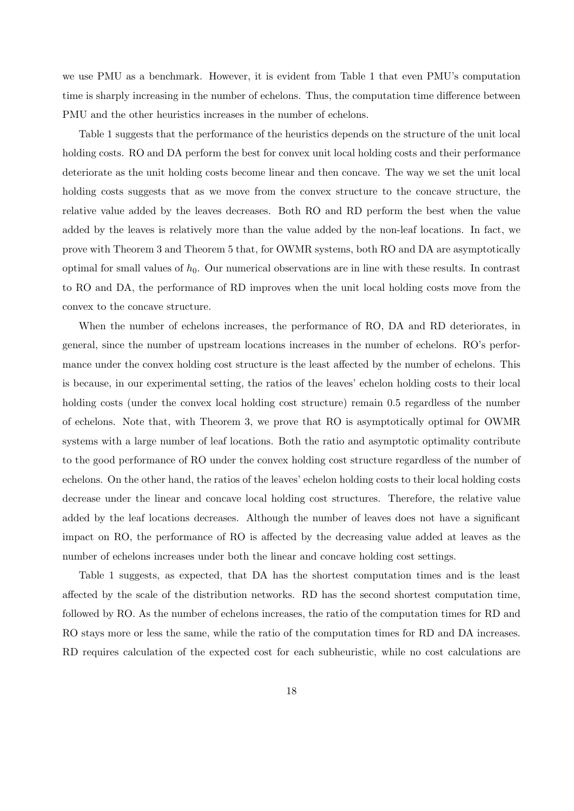we use PMU as a benchmark. However, it is evident from Table 1 that even PMU's computation time is sharply increasing in the number of echelons. Thus, the computation time difference between PMU and the other heuristics increases in the number of echelons.

Table 1 suggests that the performance of the heuristics depends on the structure of the unit local holding costs. RO and DA perform the best for convex unit local holding costs and their performance deteriorate as the unit holding costs become linear and then concave. The way we set the unit local holding costs suggests that as we move from the convex structure to the concave structure, the relative value added by the leaves decreases. Both RO and RD perform the best when the value added by the leaves is relatively more than the value added by the non-leaf locations. In fact, we prove with Theorem 3 and Theorem 5 that, for OWMR systems, both RO and DA are asymptotically optimal for small values of  $h_0$ . Our numerical observations are in line with these results. In contrast to RO and DA, the performance of RD improves when the unit local holding costs move from the convex to the concave structure.

When the number of echelons increases, the performance of RO, DA and RD deteriorates, in general, since the number of upstream locations increases in the number of echelons. RO's performance under the convex holding cost structure is the least affected by the number of echelons. This is because, in our experimental setting, the ratios of the leaves' echelon holding costs to their local holding costs (under the convex local holding cost structure) remain 0.5 regardless of the number of echelons. Note that, with Theorem 3, we prove that RO is asymptotically optimal for OWMR systems with a large number of leaf locations. Both the ratio and asymptotic optimality contribute to the good performance of RO under the convex holding cost structure regardless of the number of echelons. On the other hand, the ratios of the leaves' echelon holding costs to their local holding costs decrease under the linear and concave local holding cost structures. Therefore, the relative value added by the leaf locations decreases. Although the number of leaves does not have a significant impact on RO, the performance of RO is affected by the decreasing value added at leaves as the number of echelons increases under both the linear and concave holding cost settings.

Table 1 suggests, as expected, that DA has the shortest computation times and is the least affected by the scale of the distribution networks. RD has the second shortest computation time, followed by RO. As the number of echelons increases, the ratio of the computation times for RD and RO stays more or less the same, while the ratio of the computation times for RD and DA increases. RD requires calculation of the expected cost for each subheuristic, while no cost calculations are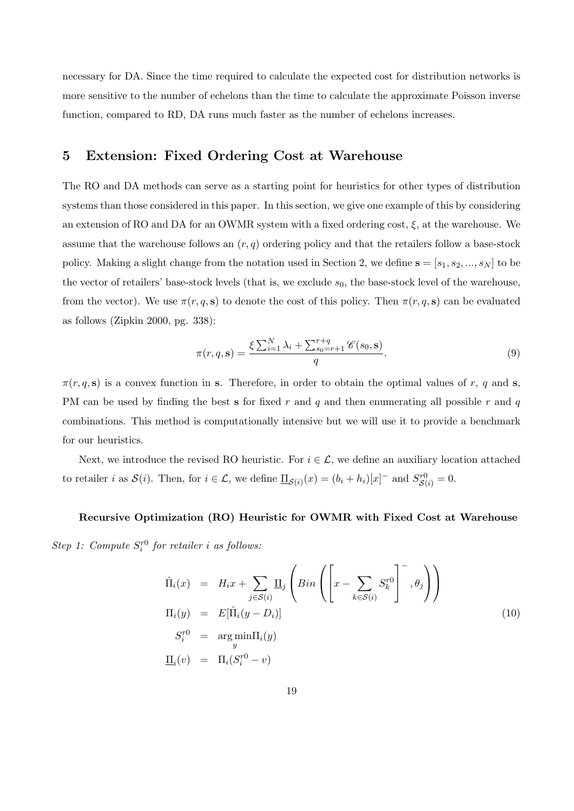necessary for DA. Since the time required to calculate the expected cost for distribution networks is more sensitive to the number of echelons than the time to calculate the approximate Poisson inverse function, compared to RD, DA runs much faster as the number of echelons increases.

## **5 Extension: Fixed Ordering Cost at Warehouse**

The RO and DA methods can serve as a starting point for heuristics for other types of distribution systems than those considered in this paper. In this section, we give one example of this by considering an extension of RO and DA for an OWMR system with a fixed ordering cost, *ξ*, at the warehouse. We assume that the warehouse follows an  $(r, q)$  ordering policy and that the retailers follow a base-stock policy. Making a slight change from the notation used in Section 2, we define  $\mathbf{s} = [s_1, s_2, ..., s_N]$  to be the vector of retailers' base-stock levels (that is, we exclude *s*0, the base-stock level of the warehouse, from the vector). We use  $\pi(r, q, s)$  to denote the cost of this policy. Then  $\pi(r, q, s)$  can be evaluated as follows (Zipkin 2000, pg. 338):

$$
\pi(r, q, \mathbf{s}) = \frac{\xi \sum_{i=1}^{N} \lambda_i + \sum_{s_0 = r+1}^{r+q} \mathscr{C}(s_0, \mathbf{s})}{q}.
$$
\n(9)

 $\pi(r, q, s)$  is a convex function in **s**. Therefore, in order to obtain the optimal values of *r*, *q* and **s**, PM can be used by finding the best **s** for fixed *r* and *q* and then enumerating all possible *r* and *q* combinations. This method is computationally intensive but we will use it to provide a benchmark for our heuristics.

Next, we introduce the revised RO heuristic. For  $i \in \mathcal{L}$ , we define an auxiliary location attached to retailer *i* as  $S(i)$ . Then, for  $i \in \mathcal{L}$ , we define  $\underline{\Pi}_{S(i)}(x) = (b_i + h_i)[x]$ <sup>-</sup> and  $S_{S(i)}^{r0} = 0$ .

#### **Recursive Optimization (RO) Heuristic for OWMR with Fixed Cost at Warehouse**

*Step 1: Compute*  $S_i^{\text{r0}}$  *for retailer i as follows:* 

$$
\hat{\Pi}_i(x) = H_i x + \sum_{j \in S(i)} \Pi_j \left( Bin \left( \left[ x - \sum_{k \in S(i)} S_k^{r0} \right]^-, \theta_j \right) \right)
$$
\n
$$
\Pi_i(y) = E[\hat{\Pi}_i(y - D_i)]
$$
\n
$$
S_i^{r0} = \underset{y}{\arg \min} \Pi_i(y)
$$
\n
$$
\Pi_i(v) = \Pi_i(S_i^{r0} - v)
$$
\n(10)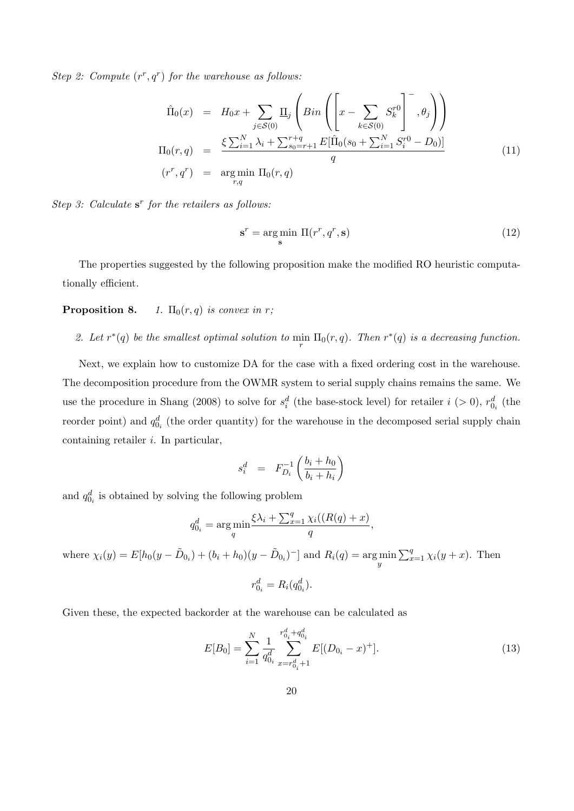*Step 2: Compute*  $(r^r, q^r)$  *for the warehouse as follows:* 

$$
\hat{\Pi}_{0}(x) = H_{0}x + \sum_{j \in S(0)} \mathbb{I}_{j} \left( Bin \left( \left[ x - \sum_{k \in S(0)} S_{k}^{r0} \right]^{-}, \theta_{j} \right) \right)
$$
\n
$$
\Pi_{0}(r, q) = \frac{\xi \sum_{i=1}^{N} \lambda_{i} + \sum_{s_{0}=r+1}^{r+q} E[\hat{\Pi}_{0}(s_{0} + \sum_{i=1}^{N} S_{i}^{r0} - D_{0})]}{q}
$$
\n
$$
(r^{r}, q^{r}) = \arg\min_{r, q} \Pi_{0}(r, q)
$$
\n(11)

*Step 3: Calculate* **s** *r for the retailers as follows:*

$$
\mathbf{s}^r = \underset{\mathbf{s}}{\text{arg min}} \ \Pi(r^r, q^r, \mathbf{s}) \tag{12}
$$

The properties suggested by the following proposition make the modified RO heuristic computationally efficient.

## **Proposition 8.** *1.*  $\Pi_0(r,q)$  *is convex in r*;

## 2. Let  $r^*(q)$  be the smallest optimal solution to  $\min_r \Pi_0(r,q)$ . Then  $r^*(q)$  is a decreasing function.

Next, we explain how to customize DA for the case with a fixed ordering cost in the warehouse. The decomposition procedure from the OWMR system to serial supply chains remains the same. We use the procedure in Shang (2008) to solve for  $s_i^d$  (the base-stock level) for retailer  $i > 0$ ,  $r_{0_i}^d$  (the reorder point) and  $q_{0_i}^d$  (the order quantity) for the warehouse in the decomposed serial supply chain containing retailer *i*. In particular,

$$
s_i^d = F_{D_i}^{-1} \left( \frac{b_i + h_0}{b_i + h_i} \right)
$$

and  $q_{0_i}^d$  is obtained by solving the following problem

$$
q_{0_i}^d = \underset{q}{\operatorname{arg\,min}} \frac{\xi \lambda_i + \sum_{x=1}^q \chi_i((R(q) + x)}{q},
$$

where  $\chi_i(y) = E[h_0(y - \tilde{D}_{0_i}) + (b_i + h_0)(y - \tilde{D}_{0_i})]$  and  $R_i(q) = \argmin_y \sum_{x=1}^q \chi_i(y + x)$ . Then

$$
r_{0_i}^d = R_i(q_{0_i}^d).
$$

Given these, the expected backorder at the warehouse can be calculated as

$$
E[B_0] = \sum_{i=1}^{N} \frac{1}{q_{0_i}^d} \sum_{x=r_{0_i}^d+1}^{r_{0_i}^d+q_{0_i}^d} E[(D_{0_i}-x)^+].
$$
\n(13)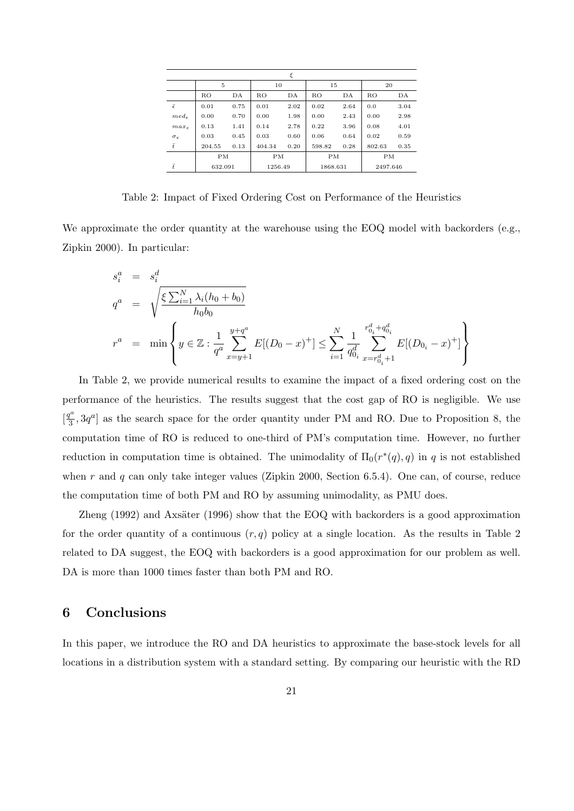|                     |           |      |           | ξ    |          |      |          |      |
|---------------------|-----------|------|-----------|------|----------|------|----------|------|
|                     | 5         |      | 10        |      | 15       |      | 20       |      |
|                     | <b>RO</b> | DA   | <b>RO</b> | DA   | RO       | DA   | RO       | DA   |
| $\bar{\epsilon}$    | 0.01      | 0.75 | 0.01      | 2.02 | 0.02     | 2.64 | 0.0      | 3.04 |
| $med_{\epsilon}$    | 0.00      | 0.70 | 0.00      | 1.98 | 0.00     | 2.43 | 0.00     | 2.98 |
| $max_{\epsilon}$    | 0.13      | 1.41 | 0.14      | 2.78 | 0.22     | 3.96 | 0.08     | 4.01 |
| $\sigma_{\epsilon}$ | 0.03      | 0.45 | 0.03      | 0.60 | 0.06     | 0.64 | 0.02     | 0.59 |
| $\bar{t}$           | 204.55    | 0.13 | 404.34    | 0.20 | 598.82   | 0.28 | 802.63   | 0.35 |
|                     | PM        |      | PM        |      | PM       |      | PM       |      |
| $\bar{t}$           | 632.091   |      | 1256.49   |      | 1868.631 |      | 2497.646 |      |

Table 2: Impact of Fixed Ordering Cost on Performance of the Heuristics

We approximate the order quantity at the warehouse using the EOQ model with backorders (e.g., Zipkin 2000). In particular:

$$
s_i^a = s_i^d
$$
  
\n
$$
q^a = \sqrt{\frac{\xi \sum_{i=1}^N \lambda_i (h_0 + b_0)}{h_0 b_0}}
$$
  
\n
$$
r^a = \min \left\{ y \in \mathbb{Z} : \frac{1}{q^a} \sum_{x=y+1}^{y+q^a} E[(D_0 - x)^+] \le \sum_{i=1}^N \frac{1}{q_{0i}^d} \sum_{x=r_{0i}^d+1}^{r_{0i}^d+q_{0i}^d} E[(D_0 - x)^+] \right\}
$$

In Table 2, we provide numerical results to examine the impact of a fixed ordering cost on the performance of the heuristics. The results suggest that the cost gap of RO is negligible. We use  $\left[\frac{q^a}{3}\right]$  $a_1^2$ , 3 $a_1^2$  as the search space for the order quantity under PM and RO. Due to Proposition 8, the computation time of RO is reduced to one-third of PM's computation time. However, no further reduction in computation time is obtained. The unimodality of  $\Pi_0(r^*(q), q)$  in *q* is not established when *r* and *q* can only take integer values (Zipkin 2000, Section 6.5.4). One can, of course, reduce the computation time of both PM and RO by assuming unimodality, as PMU does.

Zheng  $(1992)$  and Axsäter  $(1996)$  show that the EOQ with backorders is a good approximation for the order quantity of a continuous  $(r, q)$  policy at a single location. As the results in Table 2 related to DA suggest, the EOQ with backorders is a good approximation for our problem as well. DA is more than 1000 times faster than both PM and RO.

## **6 Conclusions**

In this paper, we introduce the RO and DA heuristics to approximate the base-stock levels for all locations in a distribution system with a standard setting. By comparing our heuristic with the RD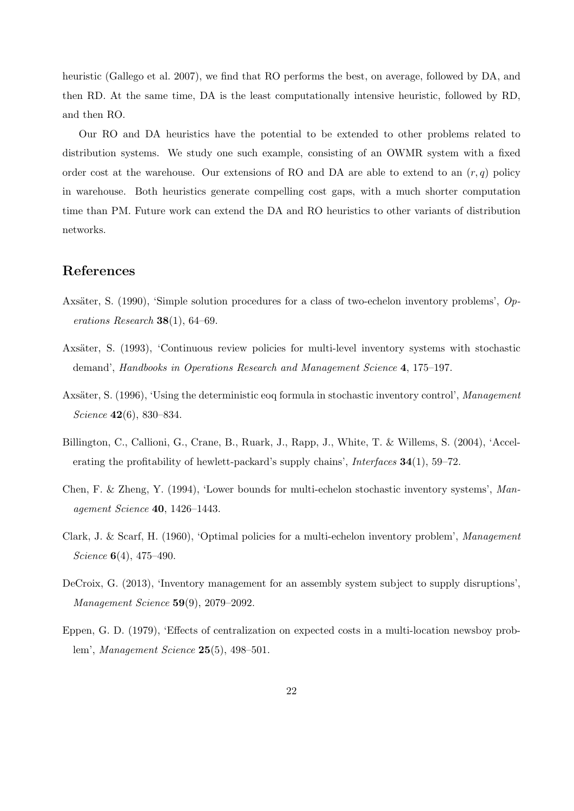heuristic (Gallego et al. 2007), we find that RO performs the best, on average, followed by DA, and then RD. At the same time, DA is the least computationally intensive heuristic, followed by RD, and then RO.

Our RO and DA heuristics have the potential to be extended to other problems related to distribution systems. We study one such example, consisting of an OWMR system with a fixed order cost at the warehouse. Our extensions of RO and DA are able to extend to an  $(r, q)$  policy in warehouse. Both heuristics generate compelling cost gaps, with a much shorter computation time than PM. Future work can extend the DA and RO heuristics to other variants of distribution networks.

## **References**

- Axsäter, S. (1990), 'Simple solution procedures for a class of two-echelon inventory problems', *Operations Research* **38**(1), 64–69.
- Axsäter, S. (1993), 'Continuous review policies for multi-level inventory systems with stochastic demand', *Handbooks in Operations Research and Management Science* **4**, 175–197.
- Axsäter, S. (1996), 'Using the deterministic eog formula in stochastic inventory control', *Management Science* **42**(6), 830–834.
- Billington, C., Callioni, G., Crane, B., Ruark, J., Rapp, J., White, T. & Willems, S. (2004), 'Accelerating the profitability of hewlett-packard's supply chains', *Interfaces* **34**(1), 59–72.
- Chen, F. & Zheng, Y. (1994), 'Lower bounds for multi-echelon stochastic inventory systems', *Management Science* **40**, 1426–1443.
- Clark, J. & Scarf, H. (1960), 'Optimal policies for a multi-echelon inventory problem', *Management Science* **6**(4), 475–490.
- DeCroix, G. (2013), 'Inventory management for an assembly system subject to supply disruptions', *Management Science* **59**(9), 2079–2092.
- Eppen, G. D. (1979), 'Effects of centralization on expected costs in a multi-location newsboy problem', *Management Science* **25**(5), 498–501.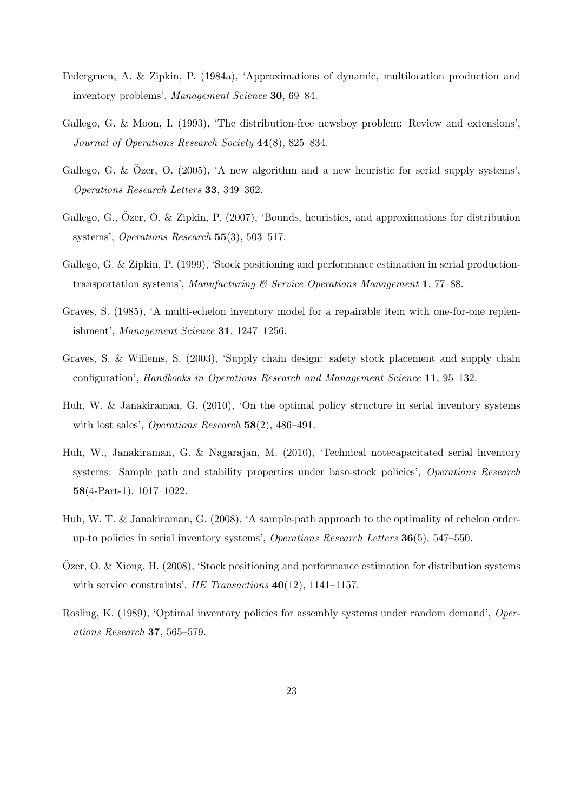- Federgruen, A. & Zipkin, P. (1984a), 'Approximations of dynamic, multilocation production and inventory problems', *Management Science* **30**, 69–84.
- Gallego, G. & Moon, I. (1993), 'The distribution-free newsboy problem: Review and extensions', *Journal of Operations Research Society* **44**(8), 825–834.
- Gallego, G. & Özer, O. (2005), 'A new algorithm and a new heuristic for serial supply systems', *Operations Research Letters* **33**, 349–362.
- Gallego, G., Özer, O. & Zipkin, P. (2007), 'Bounds, heuristics, and approximations for distribution systems', *Operations Research* **55**(3), 503–517.
- Gallego, G. & Zipkin, P. (1999), 'Stock positioning and performance estimation in serial productiontransportation systems', *Manufacturing & Service Operations Management* **1**, 77–88.
- Graves, S. (1985), 'A multi-echelon inventory model for a repairable item with one-for-one replenishment', *Management Science* **31**, 1247–1256.
- Graves, S. & Willems, S. (2003), 'Supply chain design: safety stock placement and supply chain configuration', *Handbooks in Operations Research and Management Science* **11**, 95–132.
- Huh, W. & Janakiraman, G. (2010), 'On the optimal policy structure in serial inventory systems with lost sales', *Operations Research* **58**(2), 486–491.
- Huh, W., Janakiraman, G. & Nagarajan, M. (2010), 'Technical notecapacitated serial inventory systems: Sample path and stability properties under base-stock policies', *Operations Research* **58**(4-Part-1), 1017–1022.
- Huh, W. T. & Janakiraman, G. (2008), 'A sample-path approach to the optimality of echelon orderup-to policies in serial inventory systems', *Operations Research Letters* **36**(5), 547–550.
- Ozer, O. & Xiong, H.  $(2008)$ , 'Stock positioning and performance estimation for distribution systems with service constraints', *IIE Transactions* **40**(12), 1141–1157.
- Rosling, K. (1989), 'Optimal inventory policies for assembly systems under random demand', *Operations Research* **37**, 565–579.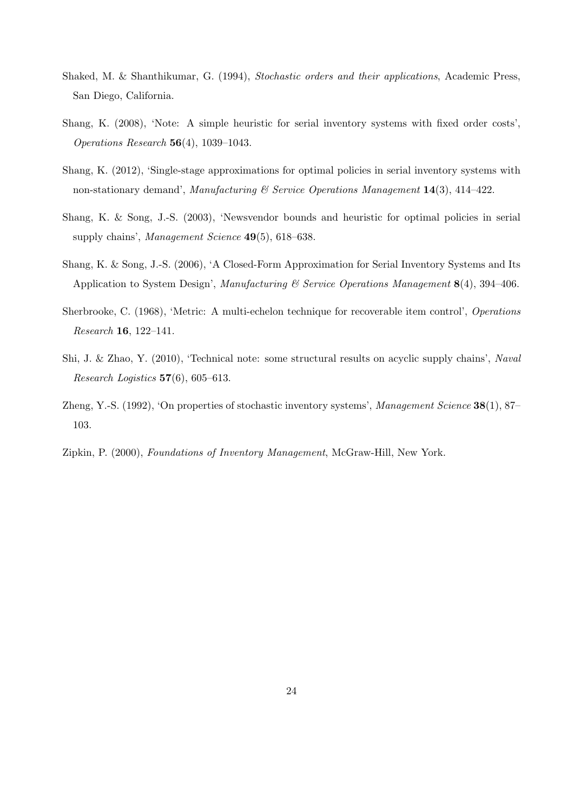- Shaked, M. & Shanthikumar, G. (1994), *Stochastic orders and their applications*, Academic Press, San Diego, California.
- Shang, K. (2008), 'Note: A simple heuristic for serial inventory systems with fixed order costs', *Operations Research* **56**(4), 1039–1043.
- Shang, K. (2012), 'Single-stage approximations for optimal policies in serial inventory systems with non-stationary demand', *Manufacturing & Service Operations Management* **14**(3), 414–422.
- Shang, K. & Song, J.-S. (2003), 'Newsvendor bounds and heuristic for optimal policies in serial supply chains', *Management Science* **49**(5), 618–638.
- Shang, K. & Song, J.-S. (2006), 'A Closed-Form Approximation for Serial Inventory Systems and Its Application to System Design', *Manufacturing & Service Operations Management* **8**(4), 394–406.
- Sherbrooke, C. (1968), 'Metric: A multi-echelon technique for recoverable item control', *Operations Research* **16**, 122–141.
- Shi, J. & Zhao, Y. (2010), 'Technical note: some structural results on acyclic supply chains', *Naval Research Logistics* **57**(6), 605–613.
- Zheng, Y.-S. (1992), 'On properties of stochastic inventory systems', *Management Science* **38**(1), 87– 103.
- Zipkin, P. (2000), *Foundations of Inventory Management*, McGraw-Hill, New York.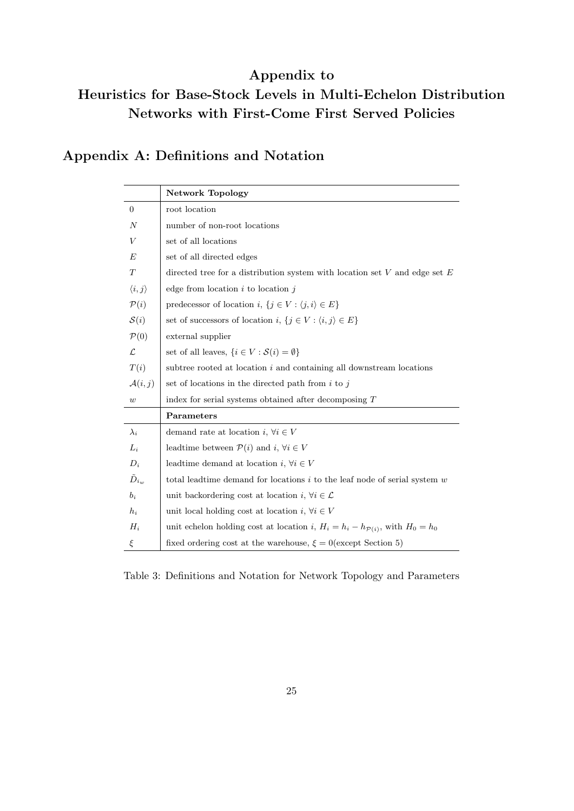## **Appendix to Heuristics for Base-Stock Levels in Multi-Echelon Distribution Networks with First-Come First Served Policies**

## **Appendix A: Definitions and Notation**

|                        | Network Topology                                                                             |
|------------------------|----------------------------------------------------------------------------------------------|
| $\boldsymbol{0}$       | root location                                                                                |
| $_{N}$                 | number of non-root locations                                                                 |
| V                      | set of all locations                                                                         |
| E                      | set of all directed edges                                                                    |
| $\scriptstyle T$       | directed tree for a distribution system with location set $V$ and edge set $E$               |
| $\langle i, j \rangle$ | edge from location $i$ to location $j$                                                       |
| $\mathcal{P}(i)$       | predecessor of location $i, \{j \in V : \langle j, i \rangle \in E\}$                        |
| $\mathcal{S}(i)$       | set of successors of location $i, \{j \in V : \langle i, j \rangle \in E\}$                  |
| $\mathcal{P}(0)$       | external supplier                                                                            |
| L                      | set of all leaves, $\{i \in V : \mathcal{S}(i) = \emptyset\}$                                |
| T(i)                   | subtree rooted at location i and containing all downstream locations                         |
| $\mathcal{A}(i,j)$     | set of locations in the directed path from $i$ to $j$                                        |
| $\boldsymbol{w}$       | index for serial systems obtained after decomposing $T$                                      |
|                        | Parameters                                                                                   |
| $\lambda_i$            | demand rate at location $i, \forall i \in V$                                                 |
| $L_i$                  | leadtime between $\mathcal{P}(i)$ and $i, \forall i \in V$                                   |
| $D_i$                  | leadtime demand at location $i, \forall i \in V$                                             |
| $\tilde{D}_{i_m}$      | total leadtime demand for locations $i$ to the leaf node of serial system $w$                |
| $b_i$                  | unit backordering cost at location $i, \forall i \in \mathcal{L}$                            |
| $h_i$                  | unit local holding cost at location $i, \forall i \in V$                                     |
| $H_i$                  | unit echelon holding cost at location i, $H_i = h_i - h_{\mathcal{P}(i)}$ , with $H_0 = h_0$ |
| ξ                      | fixed ordering cost at the warehouse, $\xi = 0$ (except Section 5)                           |

Table 3: Definitions and Notation for Network Topology and Parameters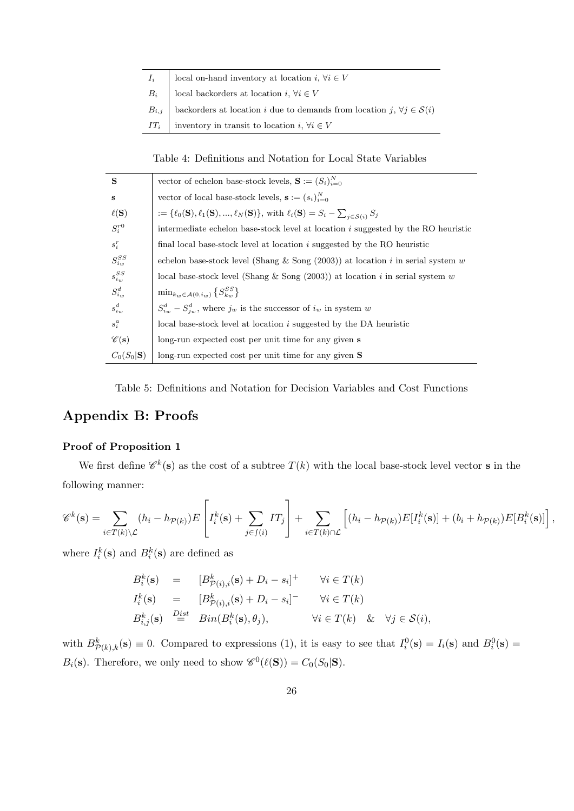| $I_i$   local on-hand inventory at location $i, \forall i \in V$                                         |
|----------------------------------------------------------------------------------------------------------|
| $B_i$   local backorders at location $i, \forall i \in V$                                                |
| $B_{i,j}$   backorders at location <i>i</i> due to demands from location <i>j</i> , $\forall j \in S(i)$ |
| $IT_i$   inventory in transit to location $i, \forall i \in V$                                           |

Table 4: Definitions and Notation for Local State Variables

| S                         | vector of echelon base-stock levels, $\mathbf{S} := (S_i)_{i=0}^N$                                                                        |
|---------------------------|-------------------------------------------------------------------------------------------------------------------------------------------|
| s                         | vector of local base-stock levels, $\mathbf{s} := (s_i)_{i=0}^N$                                                                          |
| $\ell(S)$                 | $:= \{\ell_0(\mathbf{S}), \ell_1(\mathbf{S}), , \ell_N(\mathbf{S})\},\$ with $\ell_i(\mathbf{S}) = S_i - \sum_{i \in \mathcal{S}(i)} S_j$ |
| $S_i^{r0}$                | intermediate echelon base-stock level at location $i$ suggested by the RO heuristic                                                       |
| $s_i^r$                   | final local base-stock level at location $i$ suggested by the RO heuristic                                                                |
| $S_{i_m}^{SS}$            | echelon base-stock level (Shang & Song (2003)) at location i in serial system w                                                           |
| $s_{i_w}^{SS}$            | local base-stock level (Shang & Song $(2003)$ ) at location i in serial system w                                                          |
| $S_{i_w}^d$               | $\min_{k_w \in \mathcal{A}(0,i_w)} \{S_{k_w}^{SS}\}\$                                                                                     |
| $s_{i_w}^d$               | $S_{i_m}^d - S_{j_m}^d$ , where $j_w$ is the successor of $i_w$ in system w                                                               |
| $s_i^a$                   | local base-stock level at location $i$ suggested by the DA heuristic                                                                      |
| $\mathscr{C}(\mathbf{s})$ | long-run expected cost per unit time for any given s                                                                                      |
| $C_0(S_0 {\bf S})$        | long-run expected cost per unit time for any given $S$                                                                                    |

Table 5: Definitions and Notation for Decision Variables and Cost Functions

## **Appendix B: Proofs**

## **Proof of Proposition 1**

We first define  $\mathscr{C}^k(\mathbf{s})$  as the cost of a subtree  $T(k)$  with the local base-stock level vector **s** in the following manner:

$$
\mathscr{C}^k(\mathbf{s}) = \sum_{i \in T(k) \setminus \mathcal{L}} (h_i - h_{\mathcal{P}(k)}) E\left[I_i^k(\mathbf{s}) + \sum_{j \in J(i)} IT_j\right] + \sum_{i \in T(k) \cap \mathcal{L}} \left[(h_i - h_{\mathcal{P}(k)}) E[I_i^k(\mathbf{s})] + (b_i + h_{\mathcal{P}(k)}) E[B_i^k(\mathbf{s})]\right],
$$

where  $I_i^k(\mathbf{s})$  and  $B_i^k(\mathbf{s})$  are defined as

$$
B_i^k(\mathbf{s}) = [B_{\mathcal{P}(i),i}^k(\mathbf{s}) + D_i - s_i]^+ \quad \forall i \in T(k)
$$
  
\n
$$
I_i^k(\mathbf{s}) = [B_{\mathcal{P}(i),i}^k(\mathbf{s}) + D_i - s_i]^- \quad \forall i \in T(k)
$$
  
\n
$$
B_{i,j}^k(\mathbf{s}) \stackrel{Dist}{=} Bin(B_i^k(\mathbf{s}), \theta_j), \quad \forall i \in T(k) \quad \& \quad \forall j \in \mathcal{S}(i),
$$

with  $B_{\mathcal{P}(k),k}^k(\mathbf{s}) \equiv 0$ . Compared to expressions (1), it is easy to see that  $I_i^0(\mathbf{s}) = I_i(\mathbf{s})$  and  $B_i^0(\mathbf{s}) =$ *B*<sub>*i*</sub>(**s**). Therefore, we only need to show  $\mathscr{C}^0(\ell(\mathbf{S})) = C_0(S_0|\mathbf{S})$ .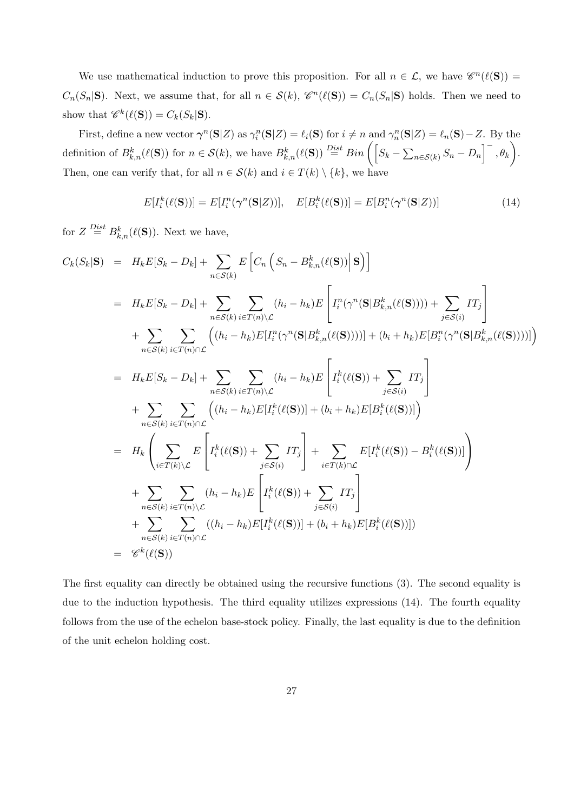We use mathematical induction to prove this proposition. For all  $n \in \mathcal{L}$ , we have  $\mathcal{C}^n(\ell(\mathbf{S}))$  =  $C_n(S_n|S)$ . Next, we assume that, for all  $n \in \mathcal{S}(k)$ ,  $\mathcal{C}^n(\ell(S)) = C_n(S_n|S)$  holds. Then we need to show that  $\mathscr{C}^k(\ell(\mathbf{S})) = C_k(S_k|\mathbf{S}).$ 

First, define a new vector  $\gamma^{n}(\mathbf{S}|Z)$  as  $\gamma_{i}^{n}(\mathbf{S}|Z) = \ell_{i}(\mathbf{S})$  for  $i \neq n$  and  $\gamma_{n}^{n}(\mathbf{S}|Z) = \ell_{n}(\mathbf{S}) - Z$ . By the definition of  $B_{k,n}^k(\ell(\mathbf{S}))$  for  $n \in \mathcal{S}(k)$ , we have  $B_{k,n}^k(\ell(\mathbf{S})) \stackrel{Dist}{=} Bin\left(\left[S_k - \sum_{n \in \mathcal{S}(k)} S_n - D_n\right]^{-}, \theta_k\right)$ . Then, one can verify that, for all  $n \in S(k)$  and  $i \in T(k) \setminus \{k\}$ , we have

$$
E[I_i^k(\ell(\mathbf{S}))] = E[I_i^n(\boldsymbol{\gamma}^n(\mathbf{S}|Z))], \quad E[B_i^k(\ell(\mathbf{S}))] = E[B_i^n(\boldsymbol{\gamma}^n(\mathbf{S}|Z))]
$$
(14)

for  $Z \stackrel{Dist}{=} B^k_{k,n}(\ell(\mathbf{S}))$ . Next we have,

$$
C_{k}(S_{k}|\mathbf{S}) = H_{k}E[S_{k} - D_{k}] + \sum_{n \in S(k)} E\left[C_{n}\left(S_{n} - B_{k,n}^{k}(\ell(\mathbf{S}))\Big|\mathbf{S}\right)\right]
$$
  
\n
$$
= H_{k}E[S_{k} - D_{k}] + \sum_{n \in S(k)} \sum_{i \in T(n) \backslash \mathcal{L}} (h_{i} - h_{k})E\left[I_{i}^{n}(\gamma^{n}(\mathbf{S}|B_{k,n}^{k}(\ell(\mathbf{S})))) + \sum_{j \in S(i)} IT_{j}\right]
$$
  
\n
$$
+ \sum_{n \in S(k)} \sum_{i \in T(n) \cap \mathcal{L}} ((h_{i} - h_{k})E[I_{i}^{n}(\gamma^{n}(\mathbf{S}|B_{k,n}^{k}(\ell(\mathbf{S}))))]) + (b_{i} + h_{k})E[B_{i}^{n}(\gamma^{n}(\mathbf{S}|B_{k,n}^{k}(\ell(\mathbf{S}))))])
$$
  
\n
$$
= H_{k}E[S_{k} - D_{k}] + \sum_{n \in S(k)} \sum_{i \in T(n) \backslash \mathcal{L}} (h_{i} - h_{k})E\left[I_{i}^{k}(\ell(\mathbf{S})) + \sum_{j \in S(i)} IT_{j}\right]
$$
  
\n
$$
+ \sum_{n \in S(k)} \sum_{i \in T(n) \cap \mathcal{L}} ((h_{i} - h_{k})E[I_{i}^{k}(\ell(\mathbf{S}))] + (b_{i} + h_{k})E[B_{i}^{k}(\ell(\mathbf{S}))])
$$
  
\n
$$
= H_{k}\left(\sum_{i \in T(k) \backslash \mathcal{L}} E\left[I_{i}^{k}(\ell(\mathbf{S})) + \sum_{j \in S(i)} IT_{j}\right] + \sum_{i \in T(k) \cap \mathcal{L}} E[I_{i}^{k}(\ell(\mathbf{S})) - B_{i}^{k}(\ell(\mathbf{S}))]\right)
$$
  
\n
$$
+ \sum_{n \in S(k)} \sum_{i \in T(n) \backslash \mathcal{L}} (h_{i} - h_{k})E\left[I_{i}^{k}(\ell(\mathbf{S})) + \sum_{j \in S(i)} IT_{j}\right]
$$
  
\n
$$
+ \sum_{n \in S(k)} \sum_{i \in T(n)
$$

The first equality can directly be obtained using the recursive functions (3). The second equality is due to the induction hypothesis. The third equality utilizes expressions (14). The fourth equality follows from the use of the echelon base-stock policy. Finally, the last equality is due to the definition of the unit echelon holding cost.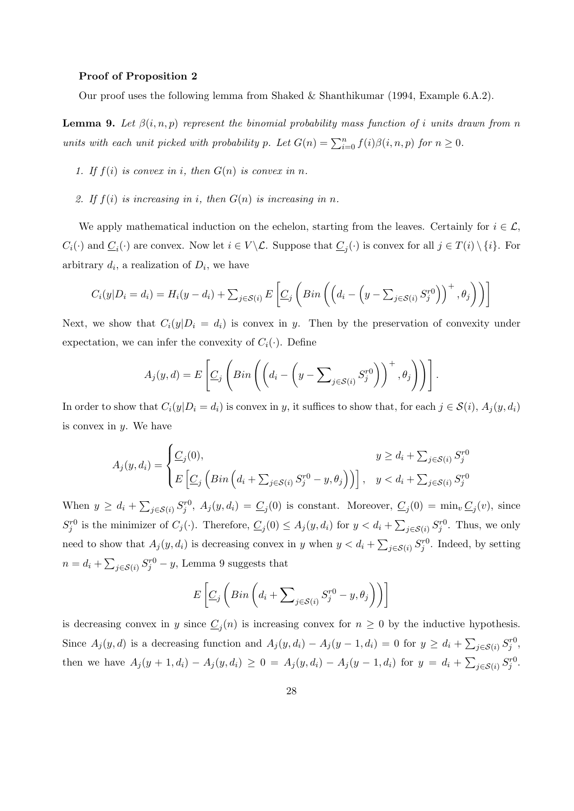#### **Proof of Proposition 2**

Our proof uses the following lemma from Shaked & Shanthikumar (1994, Example 6.A.2).

**Lemma 9.** Let  $\beta(i, n, p)$  represent the binomial probability mass function of *i* units drawn from *n units with each unit picked with probability p. Let*  $G(n) = \sum_{i=0}^{n} f(i)\beta(i, n, p)$  *for*  $n \ge 0$ *.* 

- 1. If  $f(i)$  is convex in *i*, then  $G(n)$  is convex in *n*.
- 2. If  $f(i)$  *is increasing in i, then*  $G(n)$  *is increasing in n.*

We apply mathematical induction on the echelon, starting from the leaves. Certainly for  $i \in \mathcal{L}$ ,  $C_i(\cdot)$  and  $\underline{C}_i(\cdot)$  are convex. Now let  $i \in V \backslash \mathcal{L}$ . Suppose that  $\underline{C}_j(\cdot)$  is convex for all  $j \in T(i) \setminus \{i\}$ . For arbitrary  $d_i$ , a realization of  $D_i$ , we have

$$
C_i(y|D_i = d_i) = H_i(y - d_i) + \sum_{j \in S(i)} E\left[ C_j \left( Bin\left( \left( d_i - \left( y - \sum_{j \in S(i)} S_j^{r0} \right) \right)^+, \theta_j \right) \right) \right]
$$

Next, we show that  $C_i(y|D_i = d_i)$  is convex in *y*. Then by the preservation of convexity under expectation, we can infer the convexity of  $C_i(\cdot)$ . Define

$$
A_j(y,d) = E\left[\underline{C}_j\left(Bin\left(\left(d_i - \left(y - \sum_{j \in S(i)} S_j^{r0}\right)\right)^+, \theta_j\right)\right)\right].
$$

In order to show that  $C_i(y|D_i = d_i)$  is convex in *y*, it suffices to show that, for each  $j \in \mathcal{S}(i)$ ,  $A_i(y, d_i)$ is convex in *y*. We have

$$
A_j(y, d_i) = \begin{cases} \underline{C}_j(0), & y \ge d_i + \sum_{j \in S(i)} S_j^{r0} \\ E\left[\underline{C}_j \left(Bin\left(d_i + \sum_{j \in S(i)} S_j^{r0} - y, \theta_j\right)\right)\right], & y < d_i + \sum_{j \in S(i)} S_j^{r0} \end{cases}
$$

When  $y \ge d_i + \sum_{j \in S(i)} S_j^{r0}$ ,  $A_j(y, d_i) = \underline{C}_j(0)$  is constant. Moreover,  $\underline{C}_j(0) = \min_v \underline{C}_j(v)$ , since  $S_j^{r0}$  is the minimizer of  $C_j(\cdot)$ . Therefore,  $\underline{C}_j(0) \leq A_j(y, d_i)$  for  $y < d_i + \sum_{j \in S(i)} S_j^{r0}$ . Thus, we only need to show that  $A_j(y, d_i)$  is decreasing convex in *y* when  $y < d_i + \sum_{j \in S(i)} S_j^{r0}$ . Indeed, by setting  $n = d_i + \sum_{j \in S(i)} S_j^{r0} - y$ , Lemma 9 suggests that

$$
E\left[\underline{C}_{j}\left(Bin\left(d_{i}+\sum_{j\in S(i)}S_{j}^{r0}-y,\theta_{j}\right)\right)\right]
$$

is decreasing convex in *y* since  $C_j(n)$  is increasing convex for  $n \geq 0$  by the inductive hypothesis. Since  $A_j(y, d)$  is a decreasing function and  $A_j(y, d_i) - A_j(y - 1, d_i) = 0$  for  $y \ge d_i + \sum_{j \in S(i)} S_j^{r0}$ , then we have  $A_j(y+1, d_i) - A_j(y, d_i) \ge 0 = A_j(y, d_i) - A_j(y-1, d_i)$  for  $y = d_i + \sum_{j \in S(i)} S_j^{r0}$ .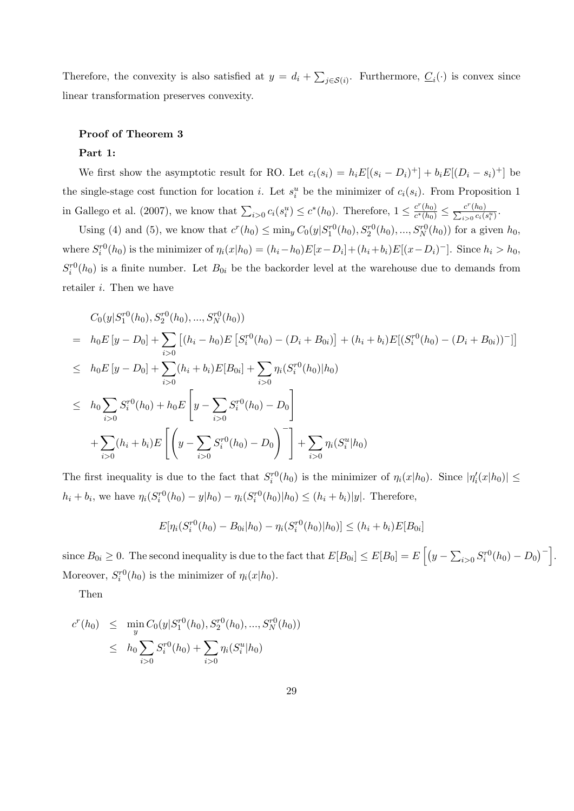Therefore, the convexity is also satisfied at  $y = d_i + \sum_{j \in S(i)}$ . Furthermore,  $C_i(\cdot)$  is convex since linear transformation preserves convexity.

## **Proof of Theorem 3**

### **Part 1:**

We first show the asymptotic result for RO. Let  $c_i(s_i) = h_i E[(s_i - D_i)^+] + b_i E[(D_i - s_i)^+]$  be the single-stage cost function for location *i*. Let  $s_i^u$  be the minimizer of  $c_i(s_i)$ . From Proposition 1 in Gallego et al. (2007), we know that  $\sum_{i>0} c_i(s_i^u) \le c^*(h_0)$ . Therefore,  $1 \le \frac{c^r(h_0)}{c^*(h_0)}$  $\frac{c^r(h_0)}{c^*(h_0)} \leq \frac{c^r}{\sum_{i>1}$  $\frac{c^r(h_0)}{\sum_{i\geq 0}c_i}$  $\frac{c'(n_0)}{i>0}$   $c_i(s_i^u)$ .

Using (4) and (5), we know that  $c^{r}(h_0) \le \min_y C_0(y|S_1^{r_0}(h_0), S_2^{r_0}(h_0), ..., S_N^{r_0}(h_0))$  for a given  $h_0$ , where  $S_i^{r0}(h_0)$  is the minimizer of  $\eta_i(x|h_0) = (h_i - h_0)E[x - D_i] + (h_i + h_i)E[(x - D_i)^{-}]$ . Since  $h_i > h_0$ ,  $S_i^{\text{r0}}(h_0)$  is a finite number. Let  $B_{0i}$  be the backorder level at the warehouse due to demands from retailer *i*. Then we have

$$
C_0(y|S_1^{r0}(h_0), S_2^{r0}(h_0), ..., S_N^{r0}(h_0))
$$
  
=  $h_0E[y - D_0] + \sum_{i>0} [(h_i - h_0)E[S_i^{r0}(h_0) - (D_i + B_{0i})] + (h_i + b_i)E[(S_i^{r0}(h_0) - (D_i + B_{0i}))^{-}]]$   

$$
\leq h_0E[y - D_0] + \sum_{i>0} (h_i + b_i)E[B_{0i}] + \sum_{i>0} \eta_i(S_i^{r0}(h_0)|h_0)
$$
  

$$
\leq h_0\sum_{i>0} S_i^{r0}(h_0) + h_0E\left[y - \sum_{i>0} S_i^{r0}(h_0) - D_0\right]
$$
  

$$
+ \sum_{i>0} (h_i + b_i)E\left[\left(y - \sum_{i>0} S_i^{r0}(h_0) - D_0\right)^{-}\right] + \sum_{i>0} \eta_i(S_i^{u}|h_0)
$$

The first inequality is due to the fact that  $S_i^{r_0}(h_0)$  is the minimizer of  $\eta_i(x|h_0)$ . Since  $|\eta'_i(x|h_0)| \le$  $h_i + b_i$ , we have  $\eta_i(S_i^{r0}(h_0) - y|h_0) - \eta_i(S_i^{r0}(h_0)|h_0) \le (h_i + b_i)|y|$ . Therefore,

$$
E[\eta_i(S_i^{r0}(h_0) - B_{0i}|h_0) - \eta_i(S_i^{r0}(h_0)|h_0)] \le (h_i + b_i)E[B_{0i}]
$$

since  $B_{0i} \geq 0$ . The second inequality is due to the fact that  $E[B_{0i}] \leq E[B_0] = E\left[\left(y - \sum_{i>0} S_i^{r0}(h_0) - D_0\right)^-\right]$ . Moreover,  $S_i^{r0}(h_0)$  is the minimizer of  $\eta_i(x|h_0)$ .

Then

$$
c^{r}(h_0) \leq \min_{y} C_0(y|S_1^{r0}(h_0), S_2^{r0}(h_0), ..., S_N^{r0}(h_0))
$$
  

$$
\leq h_0 \sum_{i>0} S_i^{r0}(h_0) + \sum_{i>0} \eta_i(S_i^u|h_0)
$$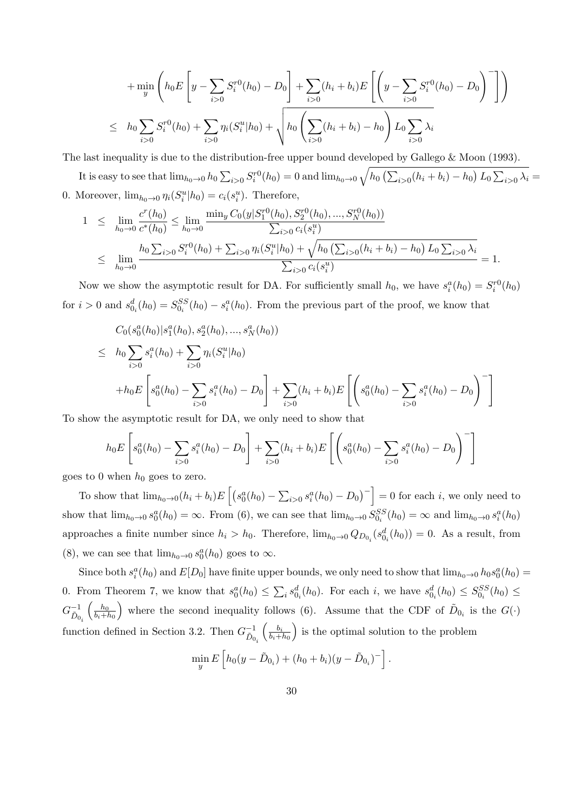$$
+ \min_{y} \left( h_0 E \left[ y - \sum_{i>0} S_i^{r0}(h_0) - D_0 \right] + \sum_{i>0} (h_i + b_i) E \left[ \left( y - \sum_{i>0} S_i^{r0}(h_0) - D_0 \right)^{-} \right] \right)
$$
  

$$
\leq h_0 \sum_{i>0} S_i^{r0}(h_0) + \sum_{i>0} \eta_i (S_i^u | h_0) + \sqrt{h_0 \left( \sum_{i>0} (h_i + b_i) - h_0 \right) L_0 \sum_{i>0} \lambda_i}
$$

The last inequality is due to the distribution-free upper bound developed by Gallego & Moon (1993).

It is easy to see that  $\lim_{h_0 \to 0} h_0 \sum_{i>0} S_i^{r0}(h_0) = 0$  and  $\lim_{h_0 \to 0} \sqrt{h_0 (\sum_{i>0} (h_i + b_i) - h_0) L_0 \sum_{i>0} \lambda_i} =$ 0. Moreover,  $\lim_{h_0 \to 0} \eta_i(S_i^u | h_0) = c_i(s_i^u)$ . Therefore,

$$
1 \leq \lim_{h_0 \to 0} \frac{c^r(h_0)}{c^*(h_0)} \leq \lim_{h_0 \to 0} \frac{\min_y C_0(y|S_1^{r0}(h_0), S_2^{r0}(h_0), ..., S_N^{r0}(h_0))}{\sum_{i>0} c_i(s_i^u)}
$$
  

$$
\leq \lim_{h_0 \to 0} \frac{h_0 \sum_{i>0} S_i^{r0}(h_0) + \sum_{i>0} \eta_i(S_i^u|h_0) + \sqrt{h_0 \left(\sum_{i>0} (h_i + b_i) - h_0\right) L_0 \sum_{i>0} \lambda_i}}{\sum_{i>0} c_i(s_i^u)} = 1.
$$

Now we show the asymptotic result for DA. For sufficiently small  $h_0$ , we have  $s_i^a(h_0) = S_i^{r0}(h_0)$ for  $i > 0$  and  $s_{0_i}^d(h_0) = S_{0_i}^{SS}(h_0) - s_i^a(h_0)$ . From the previous part of the proof, we know that

$$
C_0(s_0^a(h_0)|s_1^a(h_0), s_2^a(h_0), ..., s_N^a(h_0))
$$
  
\n
$$
\leq h_0 \sum_{i>0} s_i^a(h_0) + \sum_{i>0} \eta_i(S_i^u|h_0)
$$
  
\n
$$
+h_0 E\left[s_0^a(h_0) - \sum_{i>0} s_i^a(h_0) - D_0\right] + \sum_{i>0} (h_i + b_i) E\left[\left(s_0^a(h_0) - \sum_{i>0} s_i^a(h_0) - D_0\right)^{-}\right]
$$

To show the asymptotic result for DA, we only need to show that

$$
h_0 E\left[s_0^a(h_0) - \sum_{i>0} s_i^a(h_0) - D_0\right] + \sum_{i>0} (h_i + b_i) E\left[\left(s_0^a(h_0) - \sum_{i>0} s_i^a(h_0) - D_0\right)^{-1}\right]
$$

goes to 0 when  $h_0$  goes to zero.

To show that  $\lim_{h_0 \to 0} (h_i + b_i) E\left[ \left( s_0^a(h_0) - \sum_{i>0} s_i^a(h_0) - D_0 \right)^{-} \right] = 0$  for each *i*, we only need to show that  $\lim_{h_0 \to 0} s_0^a(h_0) = \infty$ . From (6), we can see that  $\lim_{h_0 \to 0} S_{0_i}^{SS}(h_0) = \infty$  and  $\lim_{h_0 \to 0} s_i^a(h_0)$ approaches a finite number since  $h_i > h_0$ . Therefore,  $\lim_{h_0 \to 0} Q_{D_{0_i}}(s_{0_i}^d(h_0)) = 0$ . As a result, from (8), we can see that  $\lim_{h_0 \to 0} s_0^a(h_0)$  goes to  $\infty$ .

Since both  $s_i^a(h_0)$  and  $E[D_0]$  have finite upper bounds, we only need to show that  $\lim_{h_0 \to 0} h_0 s_0^a(h_0) =$ 0. From Theorem 7, we know that  $s_0^a(h_0) \leq \sum_i s_{0_i}^d(h_0)$ . For each i, we have  $s_{0_i}^d(h_0) \leq S_{0_i}^{SS}(h_0) \leq S_{0_i}^{SS}(h_0)$  $G^{-1}_{\tilde{D}_{0}}$  $\left( \frac{h_0}{h_0} \right)$  $\frac{h_0}{b_i+h_0}$  where the second inequality follows (6). Assume that the CDF of  $\tilde{D}_{0_i}$  is the  $G(\cdot)$ function defined in Section 3.2. Then  $G_{\tilde{D}_{0i}}^{-1}$  $\left( \frac{b_i}{\sqrt{a_i}} \right)$  $\frac{b_i}{b_i + h_0}$  is the optimal solution to the problem

$$
\min_{y} E\left[h_0(y - \tilde{D}_{0_i}) + (h_0 + b_i)(y - \tilde{D}_{0_i})^-\right].
$$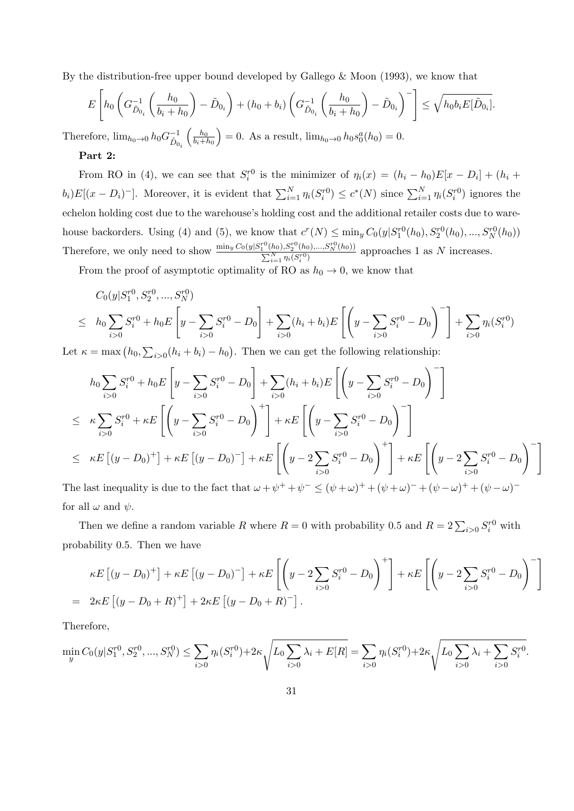By the distribution-free upper bound developed by Gallego & Moon (1993), we know that

$$
E\left[h_0\left(G_{\tilde{D}_{0_i}}^{-1}\left(\frac{h_0}{b_i+h_0}\right)-\tilde{D}_{0_i}\right)+(h_0+b_i)\left(G_{\tilde{D}_{0_i}}^{-1}\left(\frac{h_0}{b_i+h_0}\right)-\tilde{D}_{0_i}\right)^-\right] \leq \sqrt{h_0b_iE[\tilde{D}_{0_i}]}.
$$

Therefore,  $\lim_{h_0 \to 0} h_0 G_{\tilde{D}_{0_i}}^{-1}$  $\left( \frac{h_0}{h_0} \right)$  $\left(\frac{h_0}{b_i+h_0}\right) = 0$ . As a result,  $\lim_{h_0 \to 0} h_0 s_0^a(h_0) = 0$ .

## **Part 2:**

From RO in (4), we can see that  $S_i^{\tau_0}$  is the minimizer of  $\eta_i(x) = (h_i - h_0)E[x - D_i] + (h_i + h_0)E[x - D_i]$  $(b_i)E[(x-D_i)^-]$ . Moreover, it is evident that  $\sum_{i=1}^N \eta_i(S_i^{r0}) \le c^*(N)$  since  $\sum_{i=1}^N \eta_i(S_i^{r0})$  ignores the echelon holding cost due to the warehouse's holding cost and the additional retailer costs due to warehouse backorders. Using (4) and (5), we know that  $c^{r}(N) \le \min_{y} C_0(y|S_1^{r_0}(h_0), S_2^{r_0}(h_0), ..., S_N^{r_0}(h_0))$ Therefore, we only need to show  $\frac{\min_y C_0(y|S_1^{r_0}(h_0), S_2^{r_0}(h_0), ..., S_N^{r_0}(h_0))}{\sum_{i=1}^N \eta_i(S_i^{r_0})}$  approaches 1 as N increases.

From the proof of asymptotic optimality of RO as  $h_0 \to 0$ , we know that

$$
C_0(y|S_1^{r0}, S_2^{r0}, ..., S_N^{r0})
$$
  
\n
$$
\leq h_0 \sum_{i>0} S_i^{r0} + h_0 E\left[y - \sum_{i>0} S_i^{r0} - D_0\right] + \sum_{i>0} (h_i + b_i) E\left[\left(y - \sum_{i>0} S_i^{r0} - D_0\right)^{-}\right] + \sum_{i>0} \eta_i(S_i^{r0})
$$

Let  $\kappa = \max (h_0, \sum_{i>0} (h_i + b_i) - h_0)$ . Then we can get the following relationship:

$$
h_0 \sum_{i>0} S_i^{r0} + h_0 E \left[ y - \sum_{i>0} S_i^{r0} - D_0 \right] + \sum_{i>0} (h_i + b_i) E \left[ \left( y - \sum_{i>0} S_i^{r0} - D_0 \right)^{-} \right]
$$
  
\n
$$
\leq \kappa \sum_{i>0} S_i^{r0} + \kappa E \left[ \left( y - \sum_{i>0} S_i^{r0} - D_0 \right)^{+} \right] + \kappa E \left[ \left( y - \sum_{i>0} S_i^{r0} - D_0 \right)^{-} \right]
$$
  
\n
$$
\leq \kappa E \left[ (y - D_0)^{+} \right] + \kappa E \left[ (y - D_0)^{-} \right] + \kappa E \left[ \left( y - 2 \sum_{i>0} S_i^{r0} - D_0 \right)^{+} \right] + \kappa E \left[ \left( y - 2 \sum_{i>0} S_i^{r0} - D_0 \right)^{-} \right]
$$
  
\nThe last inequality is due to the fact that  $\omega + \psi^{+} + \psi^{-} \leq (\psi + \omega)^{+} + (\psi + \omega)^{-} + (\psi - \omega)^{+} + (\psi - \omega)^{-}$ 

for all  $\omega$  and  $\psi$ .

Then we define a random variable *R* where  $R = 0$  with probability 0.5 and  $R = 2\sum_{i>0} S_i^{r0}$  with probability 0*.*5. Then we have

$$
\kappa E [(y - D_0)^+] + \kappa E [(y - D_0)^-] + \kappa E \left[ \left( y - 2 \sum_{i > 0} S_i^{r0} - D_0 \right)^+ \right] + \kappa E \left[ \left( y - 2 \sum_{i > 0} S_i^{r0} - D_0 \right)^- \right]
$$
  
= 2\kappa E [(y - D\_0 + R)^+] + 2\kappa E [(y - D\_0 + R)^-].

Therefore,

$$
\min_{y} C_0(y|S_1^{r0}, S_2^{r0}, ..., S_N^{r0}) \le \sum_{i>0} \eta_i(S_i^{r0}) + 2\kappa \sqrt{L_0 \sum_{i>0} \lambda_i + E[R]} = \sum_{i>0} \eta_i(S_i^{r0}) + 2\kappa \sqrt{L_0 \sum_{i>0} \lambda_i + \sum_{i>0} S_i^{r0}}.
$$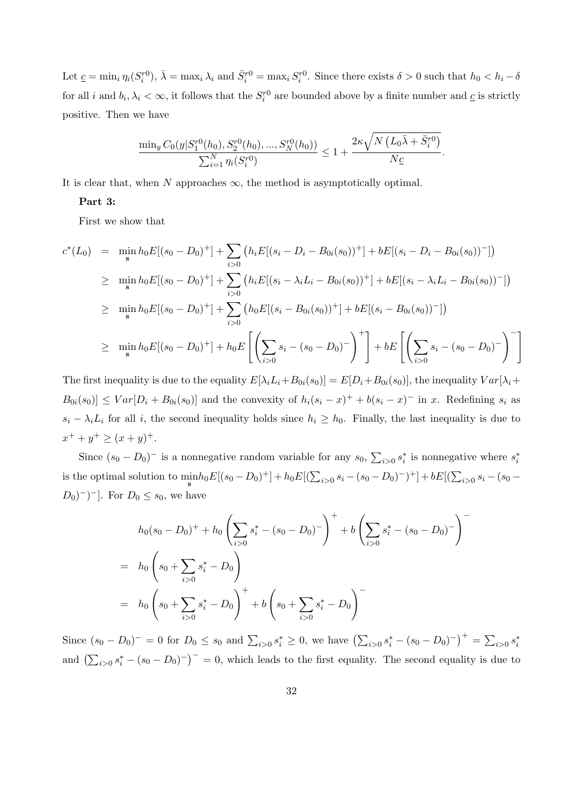Let  $\underline{c} = \min_i \eta_i(S_i^{r0}), \bar{\lambda} = \max_i \lambda_i$  and  $\bar{S}_i^{r0} = \max_i S_i^{r0}$ . Since there exists  $\delta > 0$  such that  $h_0 < h_i - \delta$ for all *i* and  $b_i, \lambda_i < \infty$ , it follows that the  $S_i^{r0}$  are bounded above by a finite number and <u>*c*</u> is strictly positive. Then we have

$$
\frac{\min_y C_0(y|S_1^{r0}(h_0), S_2^{r0}(h_0), ..., S_N^{r0}(h_0))}{\sum_{i=1}^N \eta_i(S_i^{r0})} \le 1 + \frac{2\kappa \sqrt{N(L_0\bar{\lambda} + \bar{S}_i^{r0})}}{N\underline{c}}.
$$

It is clear that, when *N* approaches  $\infty$ , the method is asymptotically optimal.

#### **Part 3:**

First we show that

$$
c^*(L_0) = \min_{\mathbf{s}} h_0 E[(s_0 - D_0)^+] + \sum_{i>0} (h_i E[(s_i - D_i - B_{0i}(s_0))^+] + bE[(s_i - D_i - B_{0i}(s_0))^-])
$$
  
\n
$$
\geq \min_{\mathbf{s}} h_0 E[(s_0 - D_0)^+] + \sum_{i>0} (h_i E[(s_i - \lambda_i L_i - B_{0i}(s_0))^+] + bE[(s_i - \lambda_i L_i - B_{0i}(s_0))^-])
$$
  
\n
$$
\geq \min_{\mathbf{s}} h_0 E[(s_0 - D_0)^+] + \sum_{i>0} (h_0 E[(s_i - B_{0i}(s_0))^+] + bE[(s_i - B_{0i}(s_0))^-])
$$
  
\n
$$
\geq \min_{\mathbf{s}} h_0 E[(s_0 - D_0)^+] + h_0 E\left[\left(\sum_{i>0} s_i - (s_0 - D_0)^-\right)^+\right] + bE\left[\left(\sum_{i>0} s_i - (s_0 - D_0)^-\right)^-\right]
$$

The first inequality is due to the equality  $E[\lambda_i L_i + B_{0i}(s_0)] = E[D_i + B_{0i}(s_0)]$ , the inequality  $Var[\lambda_i +$  $B_{0i}(s_0) \leq Var[D_i + B_{0i}(s_0)]$  and the convexity of  $h_i(s_i - x)^{+} + b(s_i - x)^{-}$  in x. Redefining  $s_i$  as  $s_i - \lambda_i L_i$  for all *i*, the second inequality holds since  $h_i \geq h_0$ . Finally, the last inequality is due to  $x^+ + y^+ \ge (x + y)^+$ .

Since  $(s_0 - D_0)^{-1}$  is a nonnegative random variable for any  $s_0$ ,  $\sum_{i>0} s_i^*$  is nonnegative where  $s_i^*$ is the optimal solution to  $\min_{s} h_0 E[(s_0 - D_0)^+] + h_0 E[(\sum_{i>0} s_i - (s_0 - D_0)^-)^+] + bE[(\sum_{i>0} s_i - (s_0 - D_0)^-)]$ *D*<sub>0</sub> $)$ <sup>-</sup> $)$ <sup>-</sup> $]$ . For *D*<sub>0</sub>  $\leq$  *s*<sub>0</sub>, we have

$$
h_0(s_0 - D_0)^+ + h_0 \left(\sum_{i>0} s_i^* - (s_0 - D_0)^-\right)^+ + b \left(\sum_{i>0} s_i^* - (s_0 - D_0)^-\right)^-
$$
  
= 
$$
h_0 \left(s_0 + \sum_{i>0} s_i^* - D_0\right)
$$
  
= 
$$
h_0 \left(s_0 + \sum_{i>0} s_i^* - D_0\right)^+ + b \left(s_0 + \sum_{i>0} s_i^* - D_0\right)^-
$$

Since  $(s_0 - D_0)^{-} = 0$  for  $D_0 \le s_0$  and  $\sum_{i>0} s_i^* \ge 0$ , we have  $(\sum_{i>0} s_i^* - (s_0 - D_0)^{-})^+ = \sum_{i>0} s_i^*$ and  $(\sum_{i>0} s_i^* - (s_0 - D_0)^-)$  = 0, which leads to the first equality. The second equality is due to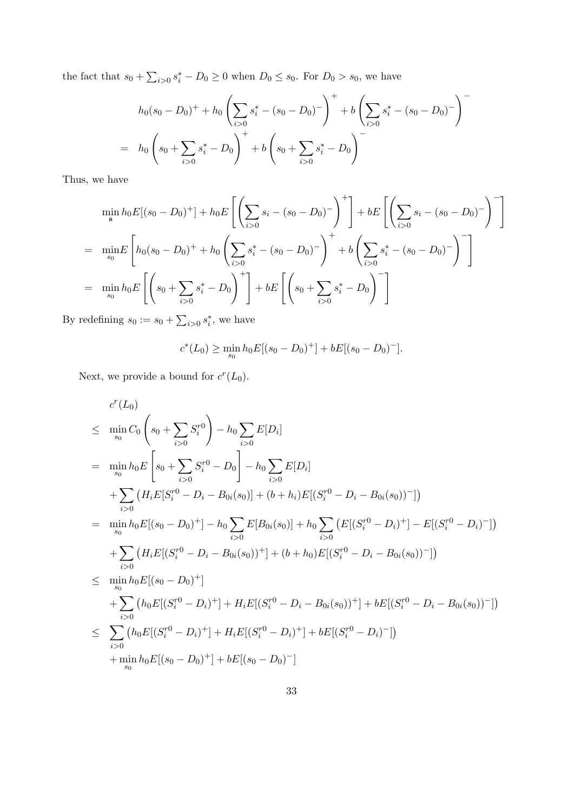the fact that  $s_0 + \sum_{i>0} s_i^* - D_0 \ge 0$  when  $D_0 \le s_0$ . For  $D_0 > s_0$ , we have

$$
h_0(s_0 - D_0)^+ + h_0 \left(\sum_{i>0} s_i^* - (s_0 - D_0)^-\right)^+ + b \left(\sum_{i>0} s_i^* - (s_0 - D_0)^-\right)^-
$$
  
= 
$$
h_0 \left(s_0 + \sum_{i>0} s_i^* - D_0\right)^+ + b \left(s_0 + \sum_{i>0} s_i^* - D_0\right)^-
$$

Thus, we have

$$
\min_{\mathbf{s}} h_0 E[(s_0 - D_0)^+] + h_0 E\left[\left(\sum_{i>0} s_i - (s_0 - D_0)^-\right)^+\right] + bE\left[\left(\sum_{i>0} s_i - (s_0 - D_0)^-\right)^-\right]
$$
\n
$$
= \min_{s_0} E\left[h_0(s_0 - D_0)^+ + h_0 \left(\sum_{i>0} s_i^* - (s_0 - D_0)^-\right)^+\right] + b\left(\sum_{i>0} s_i^* - (s_0 - D_0)^-\right)^-\right]
$$
\n
$$
= \min_{s_0} h_0 E\left[\left(s_0 + \sum_{i>0} s_i^* - D_0\right)^+\right] + bE\left[\left(s_0 + \sum_{i>0} s_i^* - D_0\right)^-\right]
$$

By redefining  $s_0 := s_0 + \sum_{i>0} s_i^*$ , we have

$$
c^*(L_0) \ge \min_{s_0} h_0 E[(s_0 - D_0)^+] + bE[(s_0 - D_0)^-].
$$

Next, we provide a bound for  $c^r(L_0)$ .

$$
c^{r}(L_{0})
$$
  
\n
$$
\leq \min_{s_{0}} C_{0} \left( s_{0} + \sum_{i>0} S_{i}^{r0} \right) - h_{0} \sum_{i>0} E[D_{i}]
$$
  
\n
$$
= \min_{s_{0}} h_{0} E \left[ s_{0} + \sum_{i>0} S_{i}^{r0} - D_{0} \right] - h_{0} \sum_{i>0} E[D_{i}]
$$
  
\n
$$
+ \sum_{i>0} \left( H_{i} E[S_{i}^{r0} - D_{i} - B_{0i}(s_{0})] + (b + h_{i}) E[(S_{i}^{r0} - D_{i} - B_{0i}(s_{0}))^{-}] \right)
$$
  
\n
$$
= \min_{s_{0}} h_{0} E[(s_{0} - D_{0})^{+}] - h_{0} \sum_{i>0} E[B_{0i}(s_{0})] + h_{0} \sum_{i>0} \left( E[(S_{i}^{r0} - D_{i})^{+}] - E[(S_{i}^{r0} - D_{i})^{-}] \right)
$$
  
\n
$$
+ \sum_{i>0} \left( H_{i} E[(S_{i}^{r0} - D_{i} - B_{0i}(s_{0}))^{+}] + (b + h_{0}) E[(S_{i}^{r0} - D_{i} - B_{0i}(s_{0}))^{-}] \right)
$$
  
\n
$$
\leq \min_{s_{0}} h_{0} E[(s_{0} - D_{0})^{+}]
$$
  
\n
$$
+ \sum_{i>0} \left( h_{0} E[(S_{i}^{r0} - D_{i})^{+}] + H_{i} E[(S_{i}^{r0} - D_{i} - B_{0i}(s_{0}))^{+}] + b E[(S_{i}^{r0} - D_{i} - B_{0i}(s_{0}))^{-}] \right)
$$
  
\n
$$
\leq \sum_{i>0} \left( h_{0} E[(S_{i}^{r0} - D_{i})^{+}] + H_{i} E[(S_{i}^{r0} - D_{i})^{+}] + b E[(S_{i}^{r0} - D_{i})^{-}] \right)
$$
  
\n
$$
+ \min_{s_{0}} h_{0} E[(s_{0} - D_{0})^{+}] + b E[(s_{0} - D_{0})^{-}]
$$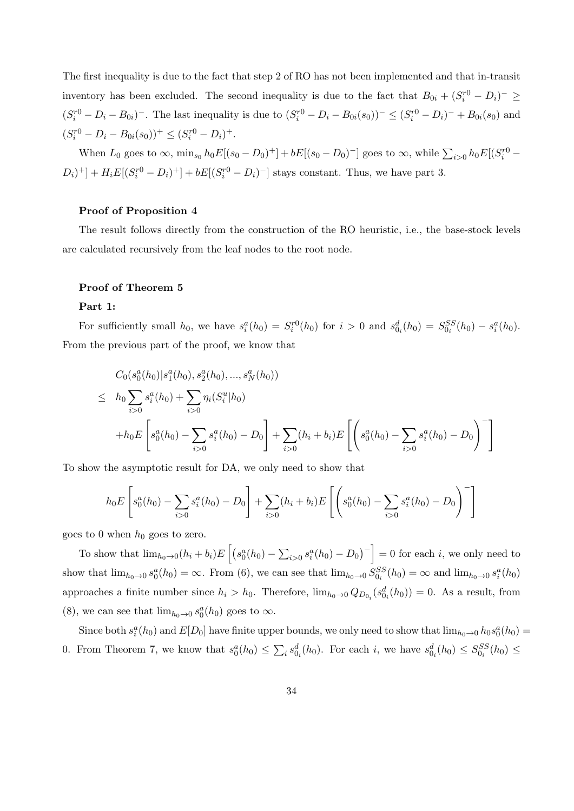The first inequality is due to the fact that step 2 of RO has not been implemented and that in-transit inventory has been excluded. The second inequality is due to the fact that  $B_{0i} + (S_i^{r0} - D_i)^{-} \ge$  $(S_i^{r0} - D_i - B_{0i})$ <sup>-</sup>. The last inequality is due to  $(S_i^{r0} - D_i - B_{0i}(s_0))$ <sup>-</sup>  $\leq (S_i^{r0} - D_i)^{-} + B_{0i}(s_0)$  and  $(S_i^{r0} - D_i - B_{0i}(s_0))^+ \le (S_i^{r0} - D_i)^+$ .

When  $L_0$  goes to  $\infty$ ,  $\min_{s_0} h_0 E[(s_0 - D_0)^+] + bE[(s_0 - D_0)^+]$  goes to  $\infty$ , while  $\sum_{i>0} h_0 E[(S_i^{r0} - D_0)^+]$  $D_i$ <sup>+</sup>] +  $H_i E[(S_i^{r0} - D_i)^+]$  +  $bE[(S_i^{r0} - D_i)^-]$  stays constant. Thus, we have part 3.

#### **Proof of Proposition 4**

The result follows directly from the construction of the RO heuristic, i.e., the base-stock levels are calculated recursively from the leaf nodes to the root node.

#### **Proof of Theorem 5**

#### **Part 1:**

For sufficiently small  $h_0$ , we have  $s_i^a(h_0) = S_i^{r0}(h_0)$  for  $i > 0$  and  $s_{0_i}^d(h_0) = S_{0_i}^{SS}(h_0) - s_i^a(h_0)$ . From the previous part of the proof, we know that

$$
C_0(s_0^a(h_0)|s_1^a(h_0), s_2^a(h_0), ..., s_N^a(h_0))
$$
  
\n
$$
\leq h_0 \sum_{i>0} s_i^a(h_0) + \sum_{i>0} \eta_i(S_i^u|h_0)
$$
  
\n
$$
+h_0 E\left[s_0^a(h_0) - \sum_{i>0} s_i^a(h_0) - D_0\right] + \sum_{i>0} (h_i + b_i) E\left[\left(s_0^a(h_0) - \sum_{i>0} s_i^a(h_0) - D_0\right)^{-}\right]
$$

To show the asymptotic result for DA, we only need to show that

$$
h_0 E\left[s_0^a(h_0) - \sum_{i>0} s_i^a(h_0) - D_0\right] + \sum_{i>0} (h_i + b_i) E\left[\left(s_0^a(h_0) - \sum_{i>0} s_i^a(h_0) - D_0\right)^{-1}\right]
$$

goes to 0 when  $h_0$  goes to zero.

To show that  $\lim_{h_0 \to 0} (h_i + b_i) E\left[ \left( s_0^a(h_0) - \sum_{i>0} s_i^a(h_0) - D_0 \right)^{-} \right] = 0$  for each i, we only need to show that  $\lim_{h_0 \to 0} s_0^a(h_0) = \infty$ . From (6), we can see that  $\lim_{h_0 \to 0} S_{0_i}^{SS}(h_0) = \infty$  and  $\lim_{h_0 \to 0} s_i^a(h_0)$ approaches a finite number since  $h_i > h_0$ . Therefore,  $\lim_{h_0 \to 0} Q_{D_{0_i}}(s_{0_i}^d(h_0)) = 0$ . As a result, from (8), we can see that  $\lim_{h_0 \to 0} s_0^a(h_0)$  goes to  $\infty$ .

Since both  $s_i^a(h_0)$  and  $E[D_0]$  have finite upper bounds, we only need to show that  $\lim_{h_0 \to 0} h_0 s_0^a(h_0) =$ 0. From Theorem 7, we know that  $s_0^a(h_0) \leq \sum_i s_{0_i}^d(h_0)$ . For each i, we have  $s_{0_i}^d(h_0) \leq S_{0_i}^{SS}(h_0) \leq S_{0_i}^{SS}(h_0)$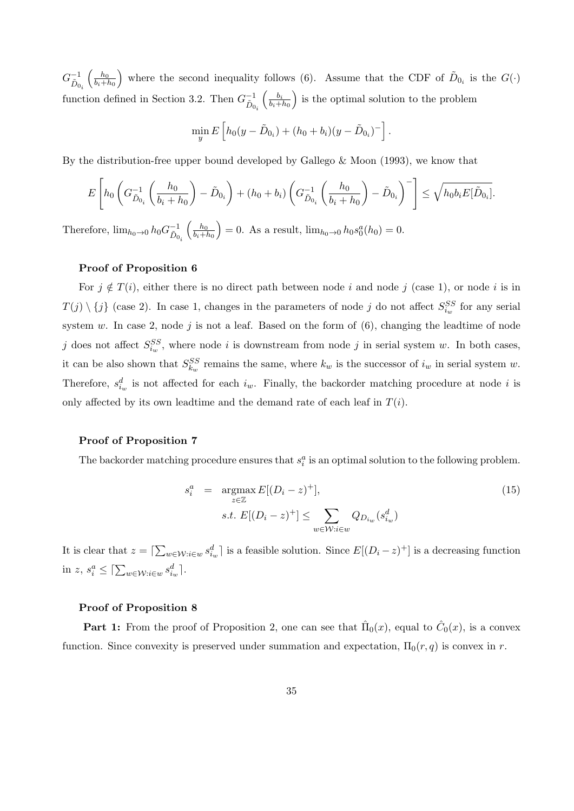$G^{-1}_{\tilde{D}_{0}}$  $\left( \frac{h_0}{h_0} \right)$  $\frac{h_0}{b_i+h_0}$  where the second inequality follows (6). Assume that the CDF of  $D_{0_i}$  is the  $G(\cdot)$ function defined in Section 3.2. Then  $G_{\tilde{D}_{0i}}^{-1}$  $\int$ <sup>*i*</sup>  $\frac{b_i}{b_i + h_0}$  is the optimal solution to the problem

$$
\min_{y} E\left[h_0(y-\tilde{D}_{0_i})+(h_0+b_i)(y-\tilde{D}_{0_i})^-\right].
$$

By the distribution-free upper bound developed by Gallego & Moon (1993), we know that

$$
E\left[h_0\left(G_{\tilde{D}_{0_i}}^{-1}\left(\frac{h_0}{b_i+h_0}\right)-\tilde{D}_{0_i}\right)+(h_0+b_i)\left(G_{\tilde{D}_{0_i}}^{-1}\left(\frac{h_0}{b_i+h_0}\right)-\tilde{D}_{0_i}\right)^-\right] \leq \sqrt{h_0b_iE[\tilde{D}_{0_i}]}.
$$

Therefore,  $\lim_{h_0 \to 0} h_0 G_{\tilde{D}_{0_i}}^{-1}$  $\left( \frac{h_0}{h_0} \right)$  $\frac{h_0}{b_i + h_0}$  = 0. As a result,  $\lim_{h_0 \to 0} h_0 s_0^a(h_0) = 0$ .

#### **Proof of Proposition 6**

For  $j \notin T(i)$ , either there is no direct path between node *i* and node *j* (case 1), or node *i* is in  $T(j) \setminus \{j\}$  (case 2). In case 1, changes in the parameters of node *j* do not affect  $S_{i_w}^{SS}$  for any serial system *w*. In case 2, node *j* is not a leaf. Based on the form of (6), changing the leadtime of node *j* does not affect  $S_{i_w}^{SS}$ , where node *i* is downstream from node *j* in serial system *w*. In both cases, it can be also shown that  $S_{k_w}^{SS}$  remains the same, where  $k_w$  is the successor of  $i_w$  in serial system  $w$ . Therefore,  $s_{i_w}^d$  is not affected for each  $i_w$ . Finally, the backorder matching procedure at node *i* is only affected by its own leadtime and the demand rate of each leaf in  $T(i)$ .

### **Proof of Proposition 7**

The backorder matching procedure ensures that  $s_i^a$  is an optimal solution to the following problem.

$$
s_i^a = \underset{z \in \mathbb{Z}}{\operatorname{argmax}} E[(D_i - z)^+] ,
$$
  
s.t.  $E[(D_i - z)^+] \le \sum_{w \in \mathcal{W}: i \in w} Q_{D_{i_w}}(s_{i_w}^d)$  (15)

It is clear that  $z = \left[\sum_{w \in \mathcal{W}: i \in w} s_{i_w}^d\right]$  is a feasible solution. Since  $E[(D_i - z)^+]$  is a decreasing function  $\inf_{z, s} S_i^a \leq \left[ \sum_{w \in \mathcal{W}: i \in w} s_{i_w}^d \right].$ 

#### **Proof of Proposition 8**

**Part 1:** From the proof of Proposition 2, one can see that  $\hat{\Pi}_0(x)$ , equal to  $\hat{C}_0(x)$ , is a convex function. Since convexity is preserved under summation and expectation,  $\Pi_0(r, q)$  is convex in *r*.